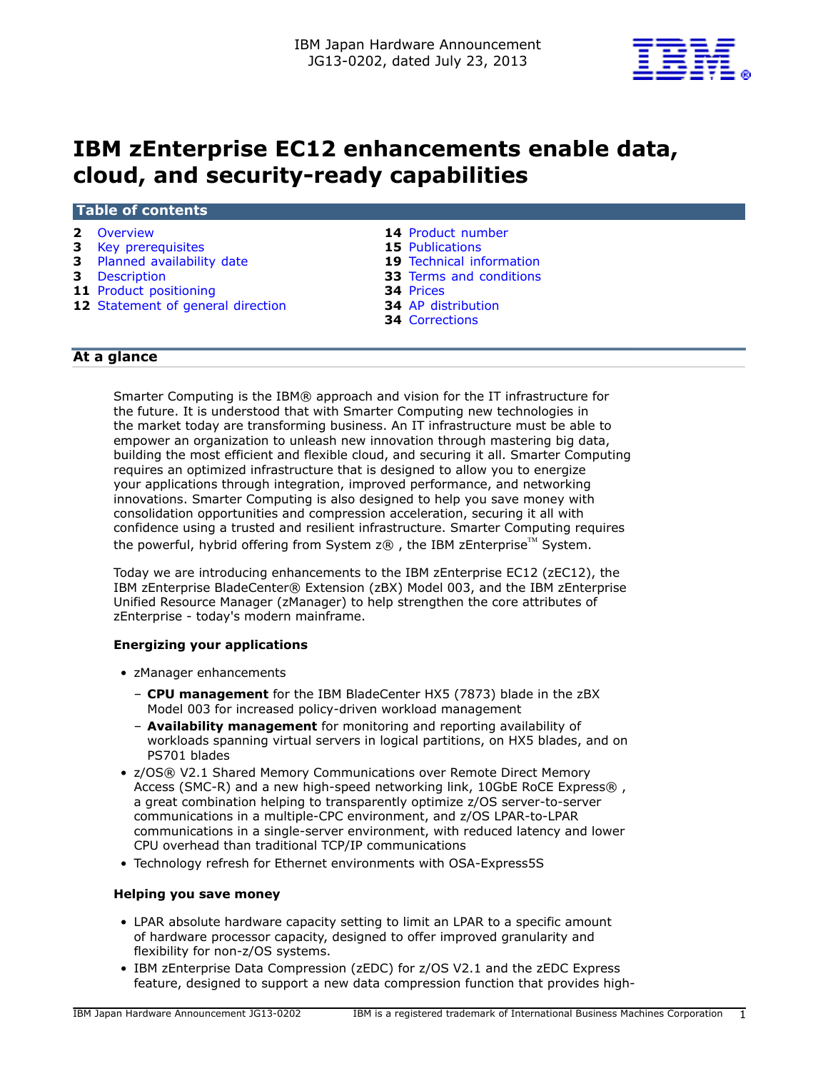

# **IBM zEnterprise EC12 enhancements enable data, cloud, and security-ready capabilities**

# **Table of contents**

- **3** [Key prerequisites](#page-2-0) **15** [Publications](#page-14-0)
- **3** [Planned availability date](#page-2-1) **19** [Technical information](#page-18-0)
- 
- 
- **11** Product positioning<br> **12** Statement of general direction<br> **34** AP distribution **12** Statement of general direction
- **2** [Overview](#page-1-0) **14** [Product number](#page-13-0) 
	-
	-
- **3** [Description](#page-2-2) **33** Terms and conditions<br> **11** Product positioning **34** Prices
	-
	-
	- **34** [Corrections](#page-33-2)

# **At a glance**

Smarter Computing is the IBM® approach and vision for the IT infrastructure for the future. It is understood that with Smarter Computing new technologies in the market today are transforming business. An IT infrastructure must be able to empower an organization to unleash new innovation through mastering big data, building the most efficient and flexible cloud, and securing it all. Smarter Computing requires an optimized infrastructure that is designed to allow you to energize your applications through integration, improved performance, and networking innovations. Smarter Computing is also designed to help you save money with consolidation opportunities and compression acceleration, securing it all with confidence using a trusted and resilient infrastructure. Smarter Computing requires the powerful, hybrid offering from System  $z@$ , the IBM zEnterprise<sup>TM</sup> System.

Today we are introducing enhancements to the IBM zEnterprise EC12 (zEC12), the IBM zEnterprise BladeCenter® Extension (zBX) Model 003, and the IBM zEnterprise Unified Resource Manager (zManager) to help strengthen the core attributes of zEnterprise - today's modern mainframe.

# **Energizing your applications**

- zManager enhancements
	- **CPU management** for the IBM BladeCenter HX5 (7873) blade in the zBX Model 003 for increased policy-driven workload management
	- **Availability management** for monitoring and reporting availability of workloads spanning virtual servers in logical partitions, on HX5 blades, and on PS701 blades
- z/OS® V2.1 Shared Memory Communications over Remote Direct Memory Access (SMC-R) and a new high-speed networking link, 10GbE RoCE Express®, a great combination helping to transparently optimize z/OS server-to-server communications in a multiple-CPC environment, and z/OS LPAR-to-LPAR communications in a single-server environment, with reduced latency and lower CPU overhead than traditional TCP/IP communications
- Technology refresh for Ethernet environments with OSA-Express5S

#### **Helping you save money**

- LPAR absolute hardware capacity setting to limit an LPAR to a specific amount of hardware processor capacity, designed to offer improved granularity and flexibility for non-z/OS systems.
- IBM zEnterprise Data Compression (zEDC) for z/OS V2.1 and the zEDC Express feature, designed to support a new data compression function that provides high-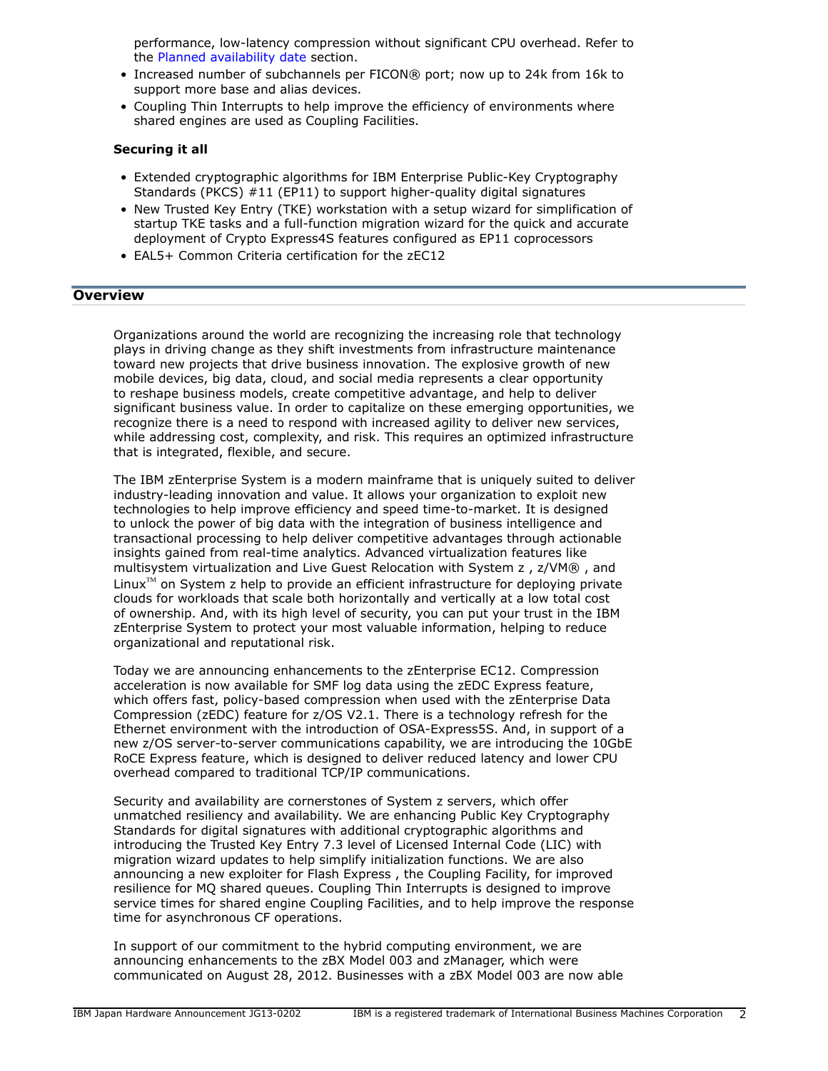performance, low-latency compression without significant CPU overhead. Refer to the [Planned availability date](#page-2-1) section.

- Increased number of subchannels per FICON® port; now up to 24k from 16k to support more base and alias devices.
- Coupling Thin Interrupts to help improve the efficiency of environments where shared engines are used as Coupling Facilities.

#### **Securing it all**

- Extended cryptographic algorithms for IBM Enterprise Public-Key Cryptography Standards (PKCS) #11 (EP11) to support higher-quality digital signatures
- New Trusted Key Entry (TKE) workstation with a setup wizard for simplification of startup TKE tasks and a full-function migration wizard for the quick and accurate deployment of Crypto Express4S features configured as EP11 coprocessors
- EAL5+ Common Criteria certification for the zEC12

#### <span id="page-1-0"></span>**Overview**

Organizations around the world are recognizing the increasing role that technology plays in driving change as they shift investments from infrastructure maintenance toward new projects that drive business innovation. The explosive growth of new mobile devices, big data, cloud, and social media represents a clear opportunity to reshape business models, create competitive advantage, and help to deliver significant business value. In order to capitalize on these emerging opportunities, we recognize there is a need to respond with increased agility to deliver new services, while addressing cost, complexity, and risk. This requires an optimized infrastructure that is integrated, flexible, and secure.

The IBM zEnterprise System is a modern mainframe that is uniquely suited to deliver industry-leading innovation and value. It allows your organization to exploit new technologies to help improve efficiency and speed time-to-market. It is designed to unlock the power of big data with the integration of business intelligence and transactional processing to help deliver competitive advantages through actionable insights gained from real-time analytics. Advanced virtualization features like multisystem virtualization and Live Guest Relocation with System z , z/VM® , and Linux $T<sup>M</sup>$  on System z help to provide an efficient infrastructure for deploying private clouds for workloads that scale both horizontally and vertically at a low total cost of ownership. And, with its high level of security, you can put your trust in the IBM zEnterprise System to protect your most valuable information, helping to reduce organizational and reputational risk.

Today we are announcing enhancements to the zEnterprise EC12. Compression acceleration is now available for SMF log data using the zEDC Express feature, which offers fast, policy-based compression when used with the zEnterprise Data Compression (zEDC) feature for z/OS V2.1. There is a technology refresh for the Ethernet environment with the introduction of OSA-Express5S. And, in support of a new z/OS server-to-server communications capability, we are introducing the 10GbE RoCE Express feature, which is designed to deliver reduced latency and lower CPU overhead compared to traditional TCP/IP communications.

Security and availability are cornerstones of System z servers, which offer unmatched resiliency and availability. We are enhancing Public Key Cryptography Standards for digital signatures with additional cryptographic algorithms and introducing the Trusted Key Entry 7.3 level of Licensed Internal Code (LIC) with migration wizard updates to help simplify initialization functions. We are also announcing a new exploiter for Flash Express , the Coupling Facility, for improved resilience for MQ shared queues. Coupling Thin Interrupts is designed to improve service times for shared engine Coupling Facilities, and to help improve the response time for asynchronous CF operations.

In support of our commitment to the hybrid computing environment, we are announcing enhancements to the zBX Model 003 and zManager, which were communicated on August 28, 2012. Businesses with a zBX Model 003 are now able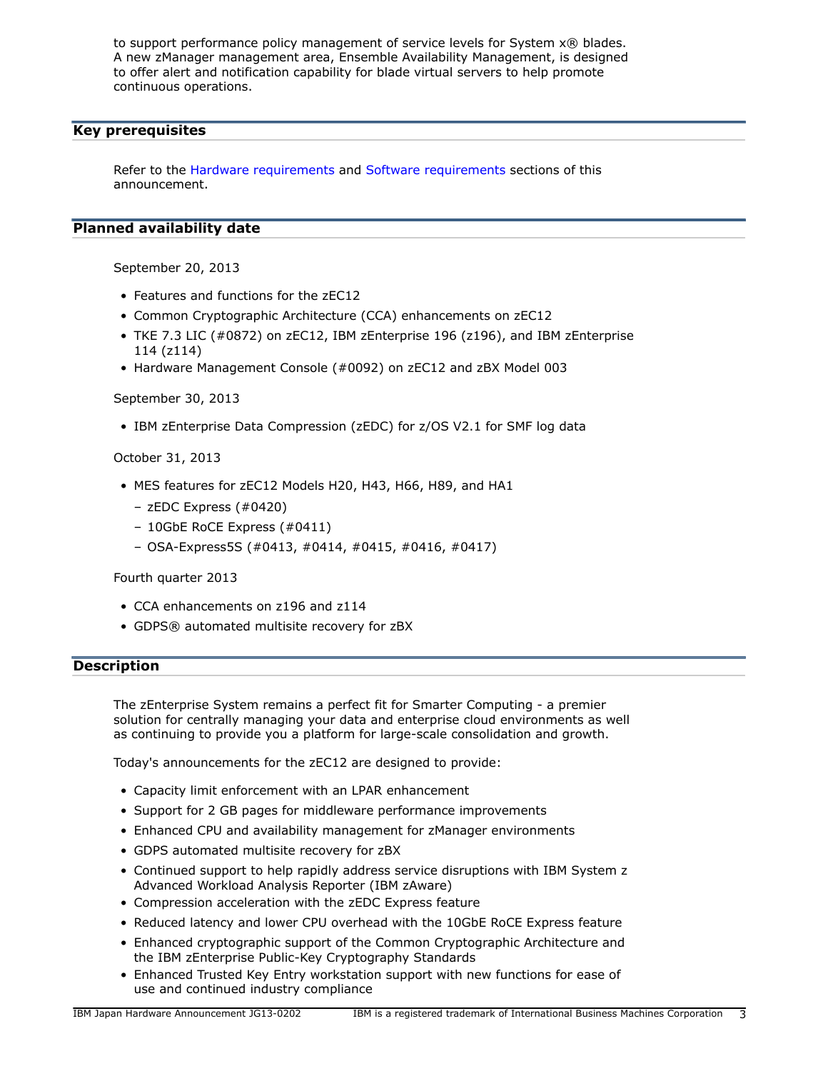to support performance policy management of service levels for System x® blades. A new zManager management area, Ensemble Availability Management, is designed to offer alert and notification capability for blade virtual servers to help promote continuous operations.

# <span id="page-2-0"></span>**Key prerequisites**

Refer to the [Hardware requirements](#page-21-0) and [Software requirements](#page-22-0) sections of this announcement.

# <span id="page-2-1"></span>**Planned availability date**

September 20, 2013

- Features and functions for the zEC12
- Common Cryptographic Architecture (CCA) enhancements on zEC12
- TKE 7.3 LIC (#0872) on zEC12, IBM zEnterprise 196 (z196), and IBM zEnterprise 114 (z114)
- Hardware Management Console (#0092) on zEC12 and zBX Model 003

# September 30, 2013

• IBM zEnterprise Data Compression (zEDC) for z/OS V2.1 for SMF log data

October 31, 2013

- MES features for zEC12 Models H20, H43, H66, H89, and HA1
	- zEDC Express (#0420)
	- 10GbE RoCE Express (#0411)
	- OSA-Express5S (#0413, #0414, #0415, #0416, #0417)

# Fourth quarter 2013

- CCA enhancements on z196 and z114
- GDPS® automated multisite recovery for zBX

# <span id="page-2-2"></span>**Description**

The zEnterprise System remains a perfect fit for Smarter Computing - a premier solution for centrally managing your data and enterprise cloud environments as well as continuing to provide you a platform for large-scale consolidation and growth.

Today's announcements for the zEC12 are designed to provide:

- Capacity limit enforcement with an LPAR enhancement
- Support for 2 GB pages for middleware performance improvements
- Enhanced CPU and availability management for zManager environments
- GDPS automated multisite recovery for zBX
- Continued support to help rapidly address service disruptions with IBM System z Advanced Workload Analysis Reporter (IBM zAware)
- Compression acceleration with the zEDC Express feature
- Reduced latency and lower CPU overhead with the 10GbE RoCE Express feature
- Enhanced cryptographic support of the Common Cryptographic Architecture and the IBM zEnterprise Public-Key Cryptography Standards
- Enhanced Trusted Key Entry workstation support with new functions for ease of use and continued industry compliance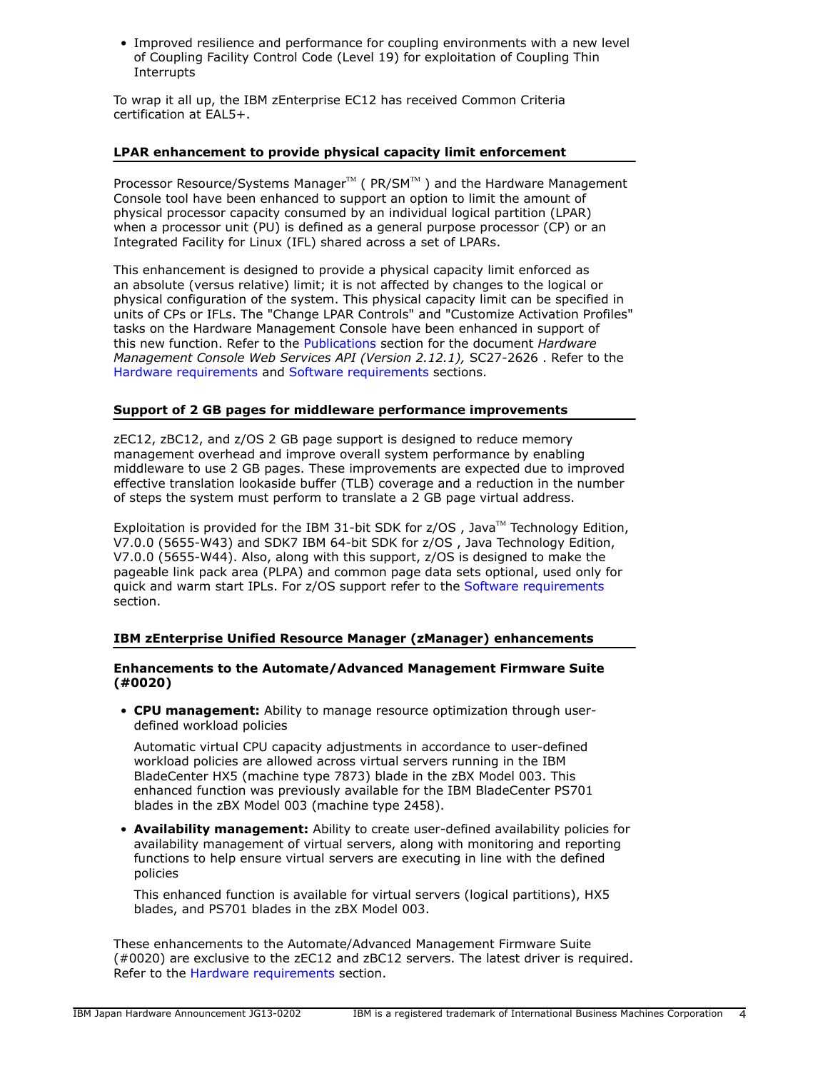• Improved resilience and performance for coupling environments with a new level of Coupling Facility Control Code (Level 19) for exploitation of Coupling Thin **Interrupts** 

To wrap it all up, the IBM zEnterprise EC12 has received Common Criteria certification at EAL5+.

#### **LPAR enhancement to provide physical capacity limit enforcement**

Processor Resource/Systems Manager $T^M$  (PR/SM $T^M$ ) and the Hardware Management Console tool have been enhanced to support an option to limit the amount of physical processor capacity consumed by an individual logical partition (LPAR) when a processor unit (PU) is defined as a general purpose processor (CP) or an Integrated Facility for Linux (IFL) shared across a set of LPARs.

This enhancement is designed to provide a physical capacity limit enforced as an absolute (versus relative) limit; it is not affected by changes to the logical or physical configuration of the system. This physical capacity limit can be specified in units of CPs or IFLs. The "Change LPAR Controls" and "Customize Activation Profiles" tasks on the Hardware Management Console have been enhanced in support of this new function. Refer to the [Publications](#page-14-0) section for the document *Hardware Management Console Web Services API (Version 2.12.1),* SC27-2626 . Refer to the [Hardware requirements](#page-21-0) and [Software requirements](#page-22-0) sections.

# **Support of 2 GB pages for middleware performance improvements**

zEC12, zBC12, and z/OS 2 GB page support is designed to reduce memory management overhead and improve overall system performance by enabling middleware to use 2 GB pages. These improvements are expected due to improved effective translation lookaside buffer (TLB) coverage and a reduction in the number of steps the system must perform to translate a 2 GB page virtual address.

Exploitation is provided for the IBM 31-bit SDK for  $z/OS$ , Java<sup>TM</sup> Technology Edition, V7.0.0 (5655-W43) and SDK7 IBM 64-bit SDK for z/OS , Java Technology Edition, V7.0.0 (5655-W44). Also, along with this support, z/OS is designed to make the pageable link pack area (PLPA) and common page data sets optional, used only for quick and warm start IPLs. For z/OS support refer to the [Software requirements](#page-22-0) section.

# **IBM zEnterprise Unified Resource Manager (zManager) enhancements**

#### **Enhancements to the Automate/Advanced Management Firmware Suite (#0020)**

• **CPU management:** Ability to manage resource optimization through userdefined workload policies

Automatic virtual CPU capacity adjustments in accordance to user-defined workload policies are allowed across virtual servers running in the IBM BladeCenter HX5 (machine type 7873) blade in the zBX Model 003. This enhanced function was previously available for the IBM BladeCenter PS701 blades in the zBX Model 003 (machine type 2458).

• **Availability management:** Ability to create user-defined availability policies for availability management of virtual servers, along with monitoring and reporting functions to help ensure virtual servers are executing in line with the defined policies

This enhanced function is available for virtual servers (logical partitions), HX5 blades, and PS701 blades in the zBX Model 003.

These enhancements to the Automate/Advanced Management Firmware Suite (#0020) are exclusive to the zEC12 and zBC12 servers. The latest driver is required. Refer to the [Hardware requirements](#page-21-0) section.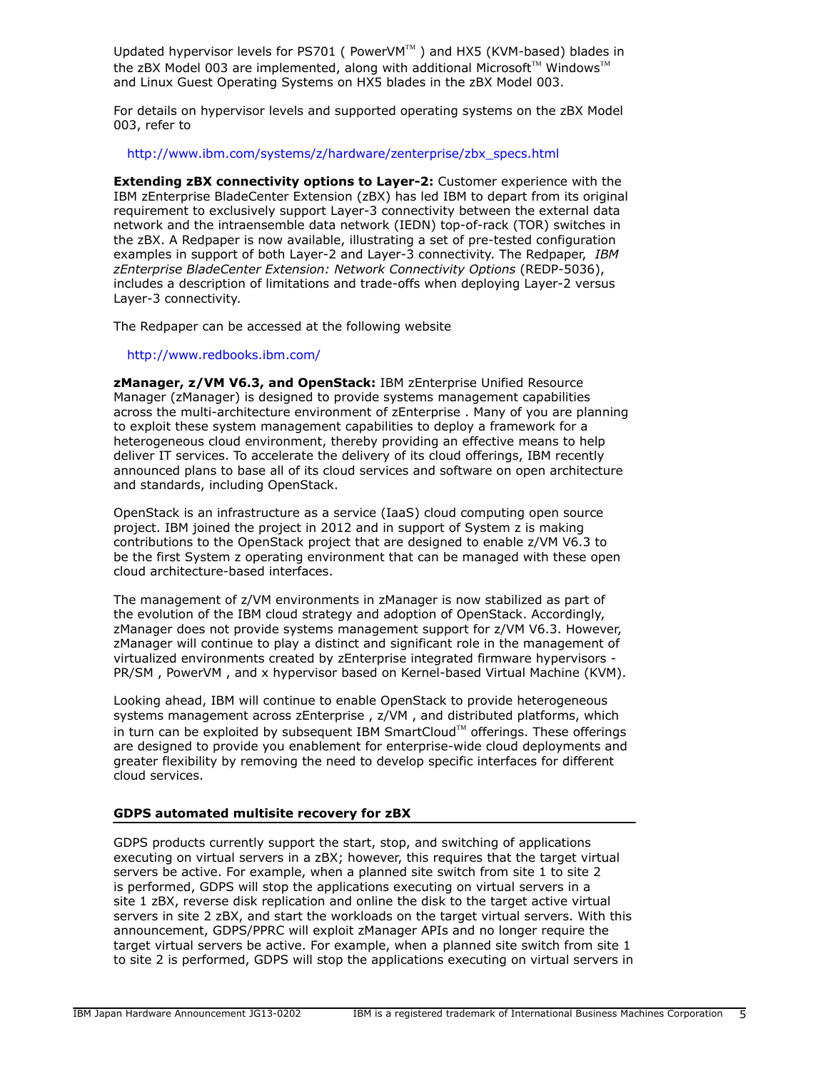Updated hypervisor levels for PS701 ( $PowerVM^M$ ) and HX5 (KVM-based) blades in the zBX Model 003 are implemented, along with additional Microsoft<sup>™</sup> Windows<sup>™</sup> and Linux Guest Operating Systems on HX5 blades in the zBX Model 003.

For details on hypervisor levels and supported operating systems on the zBX Model 003, refer to

#### [http://www.ibm.com/systems/z/hardware/zenterprise/zbx\\_specs.html](http://www.ibm.com/systems/z/hardware/zenterprise/zbx_specs.html)

**Extending zBX connectivity options to Layer-2:** Customer experience with the IBM zEnterprise BladeCenter Extension (zBX) has led IBM to depart from its original requirement to exclusively support Layer-3 connectivity between the external data network and the intraensemble data network (IEDN) top-of-rack (TOR) switches in the zBX. A Redpaper is now available, illustrating a set of pre-tested configuration examples in support of both Layer-2 and Layer-3 connectivity. The Redpaper, *IBM zEnterprise BladeCenter Extension: Network Connectivity Options* (REDP-5036), includes a description of limitations and trade-offs when deploying Layer-2 versus Layer-3 connectivity.

The Redpaper can be accessed at the following website

#### <http://www.redbooks.ibm.com/>

**zManager, z/VM V6.3, and OpenStack:** IBM zEnterprise Unified Resource Manager (zManager) is designed to provide systems management capabilities across the multi-architecture environment of zEnterprise . Many of you are planning to exploit these system management capabilities to deploy a framework for a heterogeneous cloud environment, thereby providing an effective means to help deliver IT services. To accelerate the delivery of its cloud offerings, IBM recently announced plans to base all of its cloud services and software on open architecture and standards, including OpenStack.

OpenStack is an infrastructure as a service (IaaS) cloud computing open source project. IBM joined the project in 2012 and in support of System z is making contributions to the OpenStack project that are designed to enable z/VM V6.3 to be the first System z operating environment that can be managed with these open cloud architecture-based interfaces.

The management of z/VM environments in zManager is now stabilized as part of the evolution of the IBM cloud strategy and adoption of OpenStack. Accordingly, zManager does not provide systems management support for z/VM V6.3. However, zManager will continue to play a distinct and significant role in the management of virtualized environments created by zEnterprise integrated firmware hypervisors - PR/SM , PowerVM , and x hypervisor based on Kernel-based Virtual Machine (KVM).

Looking ahead, IBM will continue to enable OpenStack to provide heterogeneous systems management across zEnterprise , z/VM , and distributed platforms, which in turn can be exploited by subsequent IBM SmartCloud $M$  offerings. These offerings are designed to provide you enablement for enterprise-wide cloud deployments and greater flexibility by removing the need to develop specific interfaces for different cloud services.

#### **GDPS automated multisite recovery for zBX**

GDPS products currently support the start, stop, and switching of applications executing on virtual servers in a zBX; however, this requires that the target virtual servers be active. For example, when a planned site switch from site 1 to site 2 is performed, GDPS will stop the applications executing on virtual servers in a site 1 zBX, reverse disk replication and online the disk to the target active virtual servers in site 2 zBX, and start the workloads on the target virtual servers. With this announcement, GDPS/PPRC will exploit zManager APIs and no longer require the target virtual servers be active. For example, when a planned site switch from site 1 to site 2 is performed, GDPS will stop the applications executing on virtual servers in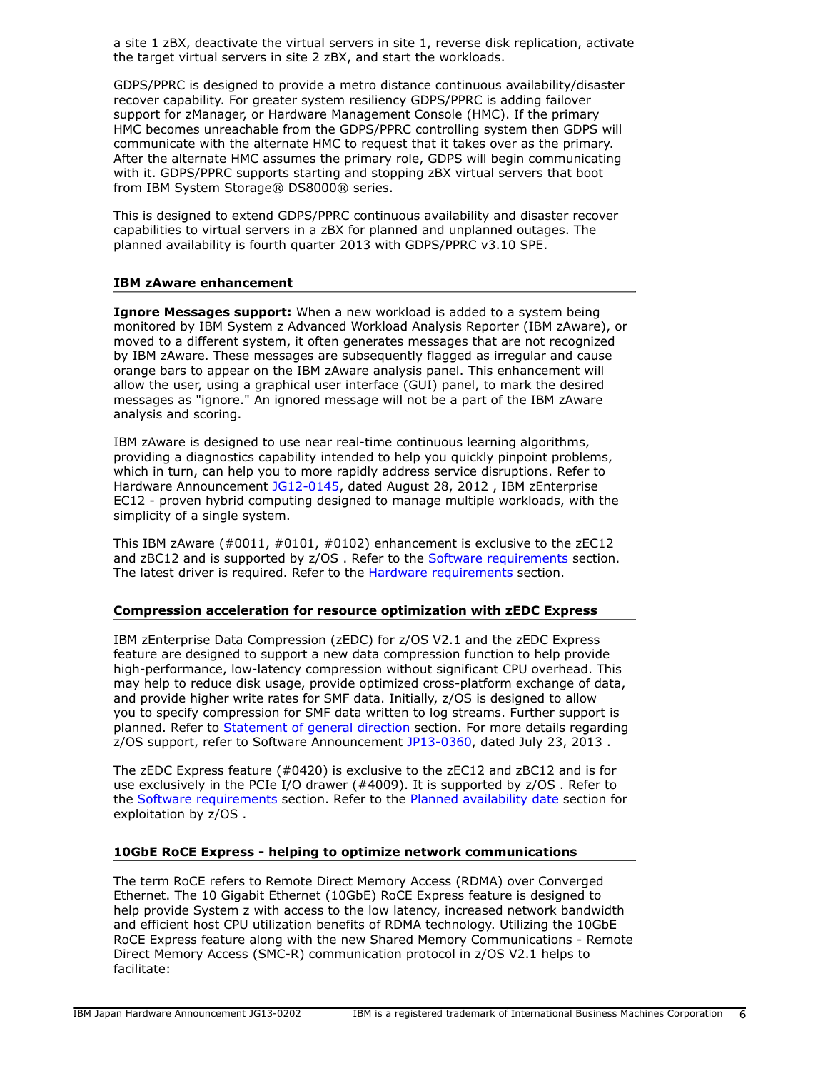a site 1 zBX, deactivate the virtual servers in site 1, reverse disk replication, activate the target virtual servers in site 2 zBX, and start the workloads.

GDPS/PPRC is designed to provide a metro distance continuous availability/disaster recover capability. For greater system resiliency GDPS/PPRC is adding failover support for zManager, or Hardware Management Console (HMC). If the primary HMC becomes unreachable from the GDPS/PPRC controlling system then GDPS will communicate with the alternate HMC to request that it takes over as the primary. After the alternate HMC assumes the primary role, GDPS will begin communicating with it. GDPS/PPRC supports starting and stopping zBX virtual servers that boot from IBM System Storage® DS8000® series.

This is designed to extend GDPS/PPRC continuous availability and disaster recover capabilities to virtual servers in a zBX for planned and unplanned outages. The planned availability is fourth quarter 2013 with GDPS/PPRC v3.10 SPE.

# **IBM zAware enhancement**

**Ignore Messages support:** When a new workload is added to a system being monitored by IBM System z Advanced Workload Analysis Reporter (IBM zAware), or moved to a different system, it often generates messages that are not recognized by IBM zAware. These messages are subsequently flagged as irregular and cause orange bars to appear on the IBM zAware analysis panel. This enhancement will allow the user, using a graphical user interface (GUI) panel, to mark the desired messages as "ignore." An ignored message will not be a part of the IBM zAware analysis and scoring.

IBM zAware is designed to use near real-time continuous learning algorithms, providing a diagnostics capability intended to help you quickly pinpoint problems, which in turn, can help you to more rapidly address service disruptions. Refer to Hardware Announcement [JG12-0145,](http://www.ibm.com/common/ssi/cgi-bin/ssialias?infotype=an&subtype=ca&appname=gpateam&supplier=760&letternum=ENUSJG12-0145) dated August 28, 2012 , IBM zEnterprise EC12 - proven hybrid computing designed to manage multiple workloads, with the simplicity of a single system.

This IBM zAware (#0011, #0101, #0102) enhancement is exclusive to the zEC12 and zBC12 and is supported by z/OS . Refer to the [Software requirements](#page-22-0) section. The latest driver is required. Refer to the [Hardware requirements](#page-21-0) section.

# **Compression acceleration for resource optimization with zEDC Express**

IBM zEnterprise Data Compression (zEDC) for z/OS V2.1 and the zEDC Express feature are designed to support a new data compression function to help provide high-performance, low-latency compression without significant CPU overhead. This may help to reduce disk usage, provide optimized cross-platform exchange of data, and provide higher write rates for SMF data. Initially, z/OS is designed to allow you to specify compression for SMF data written to log streams. Further support is planned. Refer to [Statement of general direction](#page-11-0) section. For more details regarding z/OS support, refer to Software Announcement [JP13-0360](http://www.ibm.com/common/ssi/cgi-bin/ssialias?infotype=an&subtype=ca&appname=gpateam&supplier=760&letternum=ENUSJP13-0360), dated July 23, 2013 .

The zEDC Express feature (#0420) is exclusive to the zEC12 and zBC12 and is for use exclusively in the PCIe I/O drawer (#4009). It is supported by z/OS . Refer to the [Software requirements](#page-22-0) section. Refer to the [Planned availability date](#page-2-1) section for exploitation by z/OS .

# **10GbE RoCE Express - helping to optimize network communications**

The term RoCE refers to Remote Direct Memory Access (RDMA) over Converged Ethernet. The 10 Gigabit Ethernet (10GbE) RoCE Express feature is designed to help provide System z with access to the low latency, increased network bandwidth and efficient host CPU utilization benefits of RDMA technology. Utilizing the 10GbE RoCE Express feature along with the new Shared Memory Communications - Remote Direct Memory Access (SMC-R) communication protocol in z/OS V2.1 helps to facilitate: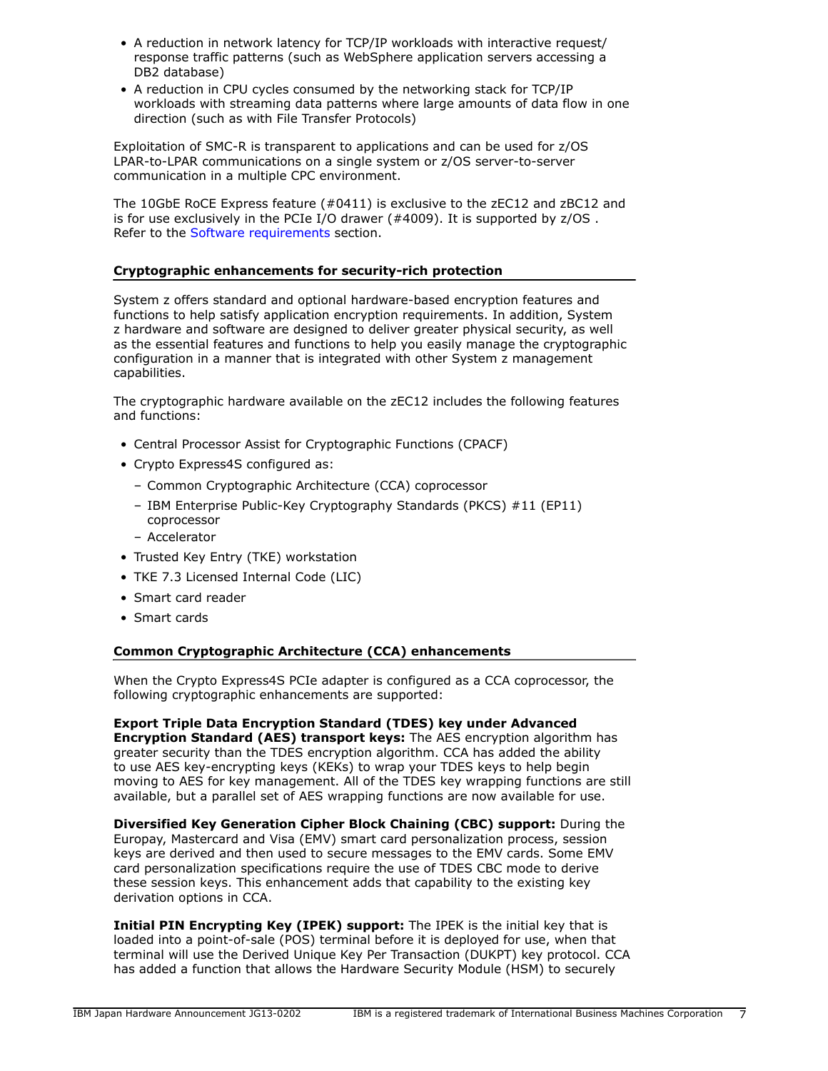- A reduction in network latency for TCP/IP workloads with interactive request/ response traffic patterns (such as WebSphere application servers accessing a DB2 database)
- A reduction in CPU cycles consumed by the networking stack for TCP/IP workloads with streaming data patterns where large amounts of data flow in one direction (such as with File Transfer Protocols)

Exploitation of SMC-R is transparent to applications and can be used for z/OS LPAR-to-LPAR communications on a single system or z/OS server-to-server communication in a multiple CPC environment.

The 10GbE RoCE Express feature (#0411) is exclusive to the zEC12 and zBC12 and is for use exclusively in the PCIe I/O drawer (#4009). It is supported by z/OS . Refer to the [Software requirements](#page-22-0) section.

# **Cryptographic enhancements for security-rich protection**

System z offers standard and optional hardware-based encryption features and functions to help satisfy application encryption requirements. In addition, System z hardware and software are designed to deliver greater physical security, as well as the essential features and functions to help you easily manage the cryptographic configuration in a manner that is integrated with other System z management capabilities.

The cryptographic hardware available on the zEC12 includes the following features and functions:

- Central Processor Assist for Cryptographic Functions (CPACF)
- Crypto Express4S configured as:
	- Common Cryptographic Architecture (CCA) coprocessor
	- IBM Enterprise Public-Key Cryptography Standards (PKCS) #11 (EP11) coprocessor
	- Accelerator
- Trusted Key Entry (TKE) workstation
- TKE 7.3 Licensed Internal Code (LIC)
- Smart card reader
- Smart cards

# **Common Cryptographic Architecture (CCA) enhancements**

When the Crypto Express4S PCIe adapter is configured as a CCA coprocessor, the following cryptographic enhancements are supported:

**Export Triple Data Encryption Standard (TDES) key under Advanced Encryption Standard (AES) transport keys:** The AES encryption algorithm has greater security than the TDES encryption algorithm. CCA has added the ability to use AES key-encrypting keys (KEKs) to wrap your TDES keys to help begin moving to AES for key management. All of the TDES key wrapping functions are still available, but a parallel set of AES wrapping functions are now available for use.

**Diversified Key Generation Cipher Block Chaining (CBC) support:** During the Europay, Mastercard and Visa (EMV) smart card personalization process, session keys are derived and then used to secure messages to the EMV cards. Some EMV card personalization specifications require the use of TDES CBC mode to derive these session keys. This enhancement adds that capability to the existing key derivation options in CCA.

**Initial PIN Encrypting Key (IPEK) support:** The IPEK is the initial key that is loaded into a point-of-sale (POS) terminal before it is deployed for use, when that terminal will use the Derived Unique Key Per Transaction (DUKPT) key protocol. CCA has added a function that allows the Hardware Security Module (HSM) to securely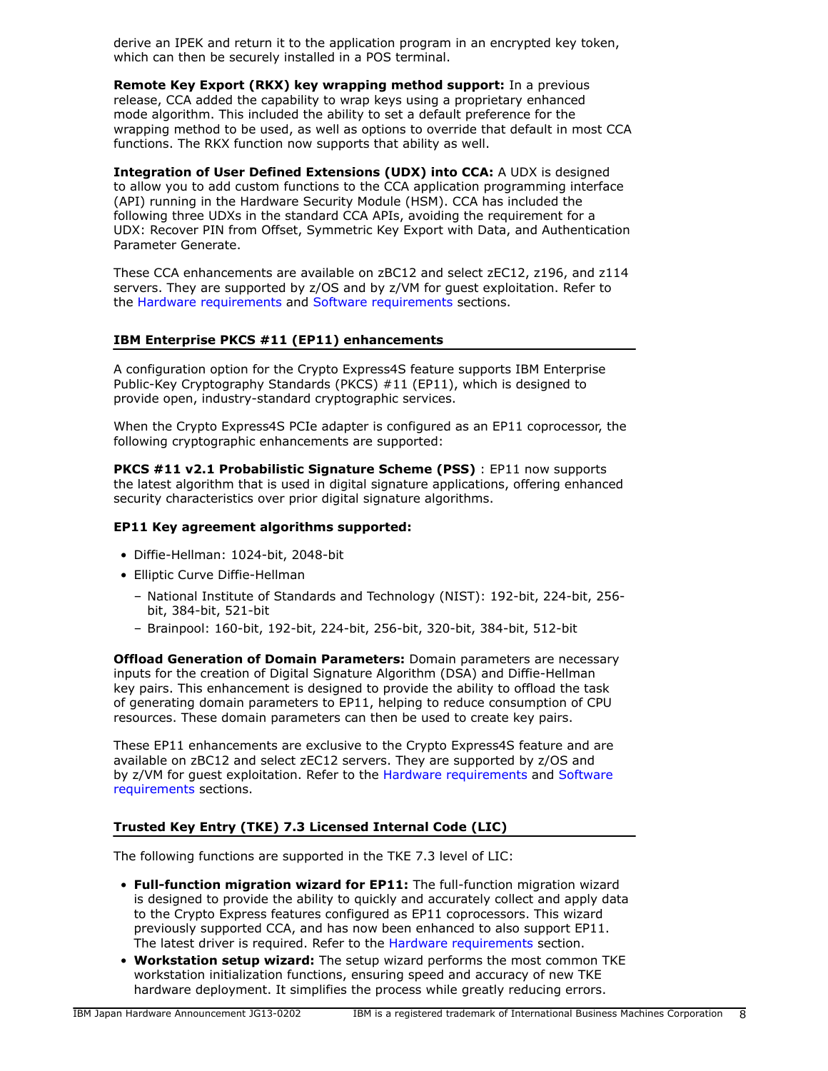derive an IPEK and return it to the application program in an encrypted key token, which can then be securely installed in a POS terminal.

**Remote Key Export (RKX) key wrapping method support:** In a previous release, CCA added the capability to wrap keys using a proprietary enhanced mode algorithm. This included the ability to set a default preference for the wrapping method to be used, as well as options to override that default in most CCA functions. The RKX function now supports that ability as well.

**Integration of User Defined Extensions (UDX) into CCA:** A UDX is designed to allow you to add custom functions to the CCA application programming interface (API) running in the Hardware Security Module (HSM). CCA has included the following three UDXs in the standard CCA APIs, avoiding the requirement for a UDX: Recover PIN from Offset, Symmetric Key Export with Data, and Authentication Parameter Generate.

These CCA enhancements are available on zBC12 and select zEC12, z196, and z114 servers. They are supported by z/OS and by z/VM for guest exploitation. Refer to the [Hardware requirements](#page-21-0) and [Software requirements](#page-22-0) sections.

#### **IBM Enterprise PKCS #11 (EP11) enhancements**

A configuration option for the Crypto Express4S feature supports IBM Enterprise Public-Key Cryptography Standards (PKCS) #11 (EP11), which is designed to provide open, industry-standard cryptographic services.

When the Crypto Express4S PCIe adapter is configured as an EP11 coprocessor, the following cryptographic enhancements are supported:

**PKCS #11 v2.1 Probabilistic Signature Scheme (PSS)** : EP11 now supports the latest algorithm that is used in digital signature applications, offering enhanced security characteristics over prior digital signature algorithms.

#### **EP11 Key agreement algorithms supported:**

- Diffie-Hellman: 1024-bit, 2048-bit
- Elliptic Curve Diffie-Hellman
	- National Institute of Standards and Technology (NIST): 192-bit, 224-bit, 256 bit, 384-bit, 521-bit
	- Brainpool: 160-bit, 192-bit, 224-bit, 256-bit, 320-bit, 384-bit, 512-bit

**Offload Generation of Domain Parameters:** Domain parameters are necessary inputs for the creation of Digital Signature Algorithm (DSA) and Diffie-Hellman key pairs. This enhancement is designed to provide the ability to offload the task of generating domain parameters to EP11, helping to reduce consumption of CPU resources. These domain parameters can then be used to create key pairs.

These EP11 enhancements are exclusive to the Crypto Express4S feature and are available on zBC12 and select zEC12 servers. They are supported by z/OS and by z/VM for guest exploitation. Refer to the [Hardware requirements](#page-21-0) and [Software](#page-22-0) [requirements](#page-22-0) sections.

# **Trusted Key Entry (TKE) 7.3 Licensed Internal Code (LIC)**

The following functions are supported in the TKE 7.3 level of LIC:

- **Full-function migration wizard for EP11:** The full-function migration wizard is designed to provide the ability to quickly and accurately collect and apply data to the Crypto Express features configured as EP11 coprocessors. This wizard previously supported CCA, and has now been enhanced to also support EP11. The latest driver is required. Refer to the [Hardware requirements](#page-21-0) section.
- **Workstation setup wizard:** The setup wizard performs the most common TKE workstation initialization functions, ensuring speed and accuracy of new TKE hardware deployment. It simplifies the process while greatly reducing errors.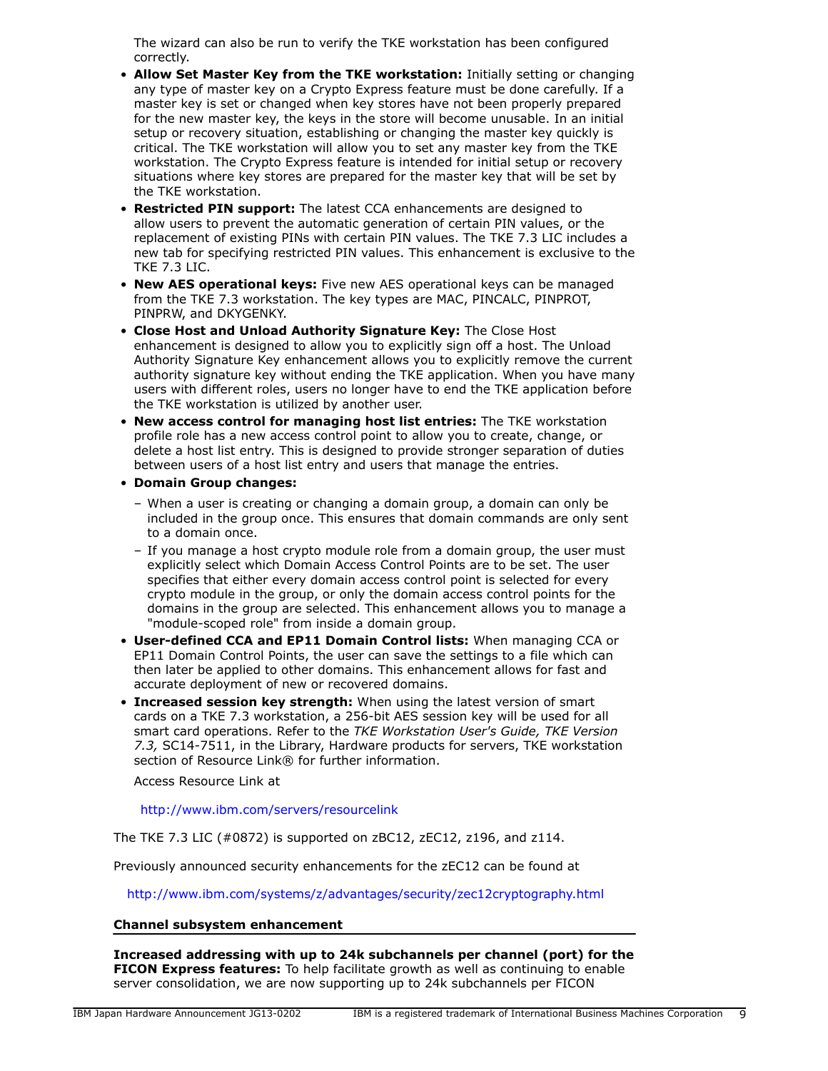The wizard can also be run to verify the TKE workstation has been configured correctly.

- **Allow Set Master Key from the TKE workstation:** Initially setting or changing any type of master key on a Crypto Express feature must be done carefully. If a master key is set or changed when key stores have not been properly prepared for the new master key, the keys in the store will become unusable. In an initial setup or recovery situation, establishing or changing the master key quickly is critical. The TKE workstation will allow you to set any master key from the TKE workstation. The Crypto Express feature is intended for initial setup or recovery situations where key stores are prepared for the master key that will be set by the TKE workstation.
- **Restricted PIN support:** The latest CCA enhancements are designed to allow users to prevent the automatic generation of certain PIN values, or the replacement of existing PINs with certain PIN values. The TKE 7.3 LIC includes a new tab for specifying restricted PIN values. This enhancement is exclusive to the TKE 7.3 LIC.
- **New AES operational keys:** Five new AES operational keys can be managed from the TKE 7.3 workstation. The key types are MAC, PINCALC, PINPROT, PINPRW, and DKYGENKY.
- **Close Host and Unload Authority Signature Key:** The Close Host enhancement is designed to allow you to explicitly sign off a host. The Unload Authority Signature Key enhancement allows you to explicitly remove the current authority signature key without ending the TKE application. When you have many users with different roles, users no longer have to end the TKE application before the TKE workstation is utilized by another user.
- **New access control for managing host list entries:** The TKE workstation profile role has a new access control point to allow you to create, change, or delete a host list entry. This is designed to provide stronger separation of duties between users of a host list entry and users that manage the entries.
- **Domain Group changes:**
	- When a user is creating or changing a domain group, a domain can only be included in the group once. This ensures that domain commands are only sent to a domain once.
	- If you manage a host crypto module role from a domain group, the user must explicitly select which Domain Access Control Points are to be set. The user specifies that either every domain access control point is selected for every crypto module in the group, or only the domain access control points for the domains in the group are selected. This enhancement allows you to manage a "module-scoped role" from inside a domain group.
- **User-defined CCA and EP11 Domain Control lists:** When managing CCA or EP11 Domain Control Points, the user can save the settings to a file which can then later be applied to other domains. This enhancement allows for fast and accurate deployment of new or recovered domains.
- **Increased session key strength:** When using the latest version of smart cards on a TKE 7.3 workstation, a 256-bit AES session key will be used for all smart card operations. Refer to the *TKE Workstation User's Guide, TKE Version 7.3,* SC14-7511, in the Library, Hardware products for servers, TKE workstation section of Resource Link<sup>®</sup> for further information.

Access Resource Link at

<http://www.ibm.com/servers/resourcelink>

The TKE 7.3 LIC (#0872) is supported on zBC12, zEC12, z196, and z114.

Previously announced security enhancements for the zEC12 can be found at

<http://www.ibm.com/systems/z/advantages/security/zec12cryptography.html>

#### **Channel subsystem enhancement**

**Increased addressing with up to 24k subchannels per channel (port) for the FICON Express features:** To help facilitate growth as well as continuing to enable server consolidation, we are now supporting up to 24k subchannels per FICON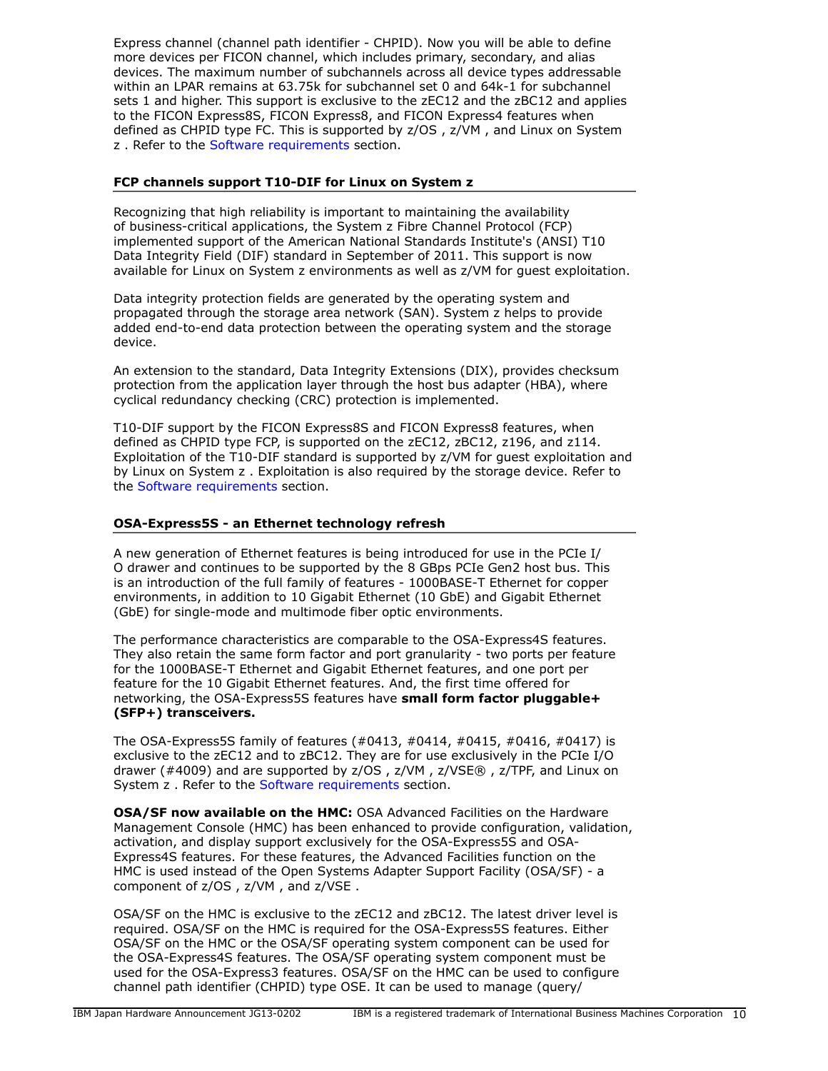Express channel (channel path identifier - CHPID). Now you will be able to define more devices per FICON channel, which includes primary, secondary, and alias devices. The maximum number of subchannels across all device types addressable within an LPAR remains at 63.75k for subchannel set 0 and 64k-1 for subchannel sets 1 and higher. This support is exclusive to the zEC12 and the zBC12 and applies to the FICON Express8S, FICON Express8, and FICON Express4 features when defined as CHPID type FC. This is supported by z/OS , z/VM , and Linux on System z. Refer to the [Software requirements](#page-22-0) section.

# **FCP channels support T10-DIF for Linux on System z**

Recognizing that high reliability is important to maintaining the availability of business-critical applications, the System z Fibre Channel Protocol (FCP) implemented support of the American National Standards Institute's (ANSI) T10 Data Integrity Field (DIF) standard in September of 2011. This support is now available for Linux on System z environments as well as z/VM for guest exploitation.

Data integrity protection fields are generated by the operating system and propagated through the storage area network (SAN). System z helps to provide added end-to-end data protection between the operating system and the storage device.

An extension to the standard, Data Integrity Extensions (DIX), provides checksum protection from the application layer through the host bus adapter (HBA), where cyclical redundancy checking (CRC) protection is implemented.

T10-DIF support by the FICON Express8S and FICON Express8 features, when defined as CHPID type FCP, is supported on the zEC12, zBC12, z196, and z114. Exploitation of the T10-DIF standard is supported by z/VM for guest exploitation and by Linux on System z . Exploitation is also required by the storage device. Refer to the [Software requirements](#page-22-0) section.

# **OSA-Express5S - an Ethernet technology refresh**

A new generation of Ethernet features is being introduced for use in the PCIe I/ O drawer and continues to be supported by the 8 GBps PCIe Gen2 host bus. This is an introduction of the full family of features - 1000BASE-T Ethernet for copper environments, in addition to 10 Gigabit Ethernet (10 GbE) and Gigabit Ethernet (GbE) for single-mode and multimode fiber optic environments.

The performance characteristics are comparable to the OSA-Express4S features. They also retain the same form factor and port granularity - two ports per feature for the 1000BASE-T Ethernet and Gigabit Ethernet features, and one port per feature for the 10 Gigabit Ethernet features. And, the first time offered for networking, the OSA-Express5S features have **small form factor pluggable+ (SFP+) transceivers.**

The OSA-Express5S family of features (#0413, #0414, #0415, #0416, #0417) is exclusive to the zEC12 and to zBC12. They are for use exclusively in the PCIe I/O drawer (#4009) and are supported by z/OS , z/VM , z/VSE® , z/TPF, and Linux on System z. Refer to the [Software requirements](#page-22-0) section.

**OSA/SF now available on the HMC:** OSA Advanced Facilities on the Hardware Management Console (HMC) has been enhanced to provide configuration, validation, activation, and display support exclusively for the OSA-Express5S and OSA-Express4S features. For these features, the Advanced Facilities function on the HMC is used instead of the Open Systems Adapter Support Facility (OSA/SF) - a component of z/OS , z/VM , and z/VSE .

OSA/SF on the HMC is exclusive to the zEC12 and zBC12. The latest driver level is required. OSA/SF on the HMC is required for the OSA-Express5S features. Either OSA/SF on the HMC or the OSA/SF operating system component can be used for the OSA-Express4S features. The OSA/SF operating system component must be used for the OSA-Express3 features. OSA/SF on the HMC can be used to configure channel path identifier (CHPID) type OSE. It can be used to manage (query/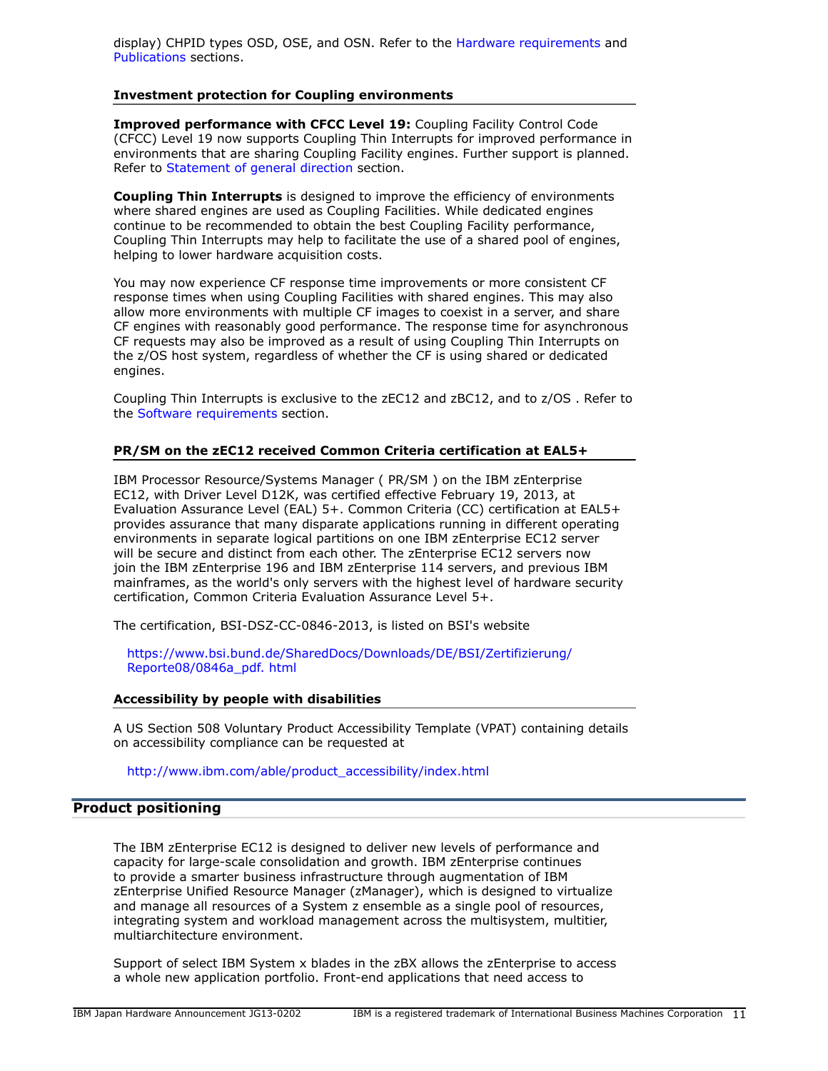display) CHPID types OSD, OSE, and OSN. Refer to the [Hardware requirements](#page-21-0) and [Publications](#page-14-0) sections.

#### **Investment protection for Coupling environments**

**Improved performance with CFCC Level 19:** Coupling Facility Control Code (CFCC) Level 19 now supports Coupling Thin Interrupts for improved performance in environments that are sharing Coupling Facility engines. Further support is planned. Refer to [Statement of general direction](#page-11-0) section.

**Coupling Thin Interrupts** is designed to improve the efficiency of environments where shared engines are used as Coupling Facilities. While dedicated engines continue to be recommended to obtain the best Coupling Facility performance, Coupling Thin Interrupts may help to facilitate the use of a shared pool of engines, helping to lower hardware acquisition costs.

You may now experience CF response time improvements or more consistent CF response times when using Coupling Facilities with shared engines. This may also allow more environments with multiple CF images to coexist in a server, and share CF engines with reasonably good performance. The response time for asynchronous CF requests may also be improved as a result of using Coupling Thin Interrupts on the z/OS host system, regardless of whether the CF is using shared or dedicated engines.

Coupling Thin Interrupts is exclusive to the zEC12 and zBC12, and to z/OS . Refer to the [Software requirements](#page-22-0) section.

# **PR/SM on the zEC12 received Common Criteria certification at EAL5+**

IBM Processor Resource/Systems Manager ( PR/SM ) on the IBM zEnterprise EC12, with Driver Level D12K, was certified effective February 19, 2013, at Evaluation Assurance Level (EAL) 5+. Common Criteria (CC) certification at EAL5+ provides assurance that many disparate applications running in different operating environments in separate logical partitions on one IBM zEnterprise EC12 server will be secure and distinct from each other. The zEnterprise EC12 servers now join the IBM zEnterprise 196 and IBM zEnterprise 114 servers, and previous IBM mainframes, as the world's only servers with the highest level of hardware security certification, Common Criteria Evaluation Assurance Level 5+.

The certification, BSI-DSZ-CC-0846-2013, is listed on BSI's website

[https://www.bsi.bund.de/SharedDocs/Downloads/DE/BSI/Zertifizierung/](https://www.bsi.bund.de/SharedDocs/Downloads/DE/BSI/Zertifizierung/Reporte08/0846a_pdf.html) [Reporte08/0846a\\_pdf. html](https://www.bsi.bund.de/SharedDocs/Downloads/DE/BSI/Zertifizierung/Reporte08/0846a_pdf.html)

#### **Accessibility by people with disabilities**

A US Section 508 Voluntary Product Accessibility Template (VPAT) containing details on accessibility compliance can be requested at

[http://www.ibm.com/able/product\\_accessibility/index.html](http://www.ibm.com/able/product_accessibility/index.html)

#### <span id="page-10-0"></span>**Product positioning**

The IBM zEnterprise EC12 is designed to deliver new levels of performance and capacity for large-scale consolidation and growth. IBM zEnterprise continues to provide a smarter business infrastructure through augmentation of IBM zEnterprise Unified Resource Manager (zManager), which is designed to virtualize and manage all resources of a System z ensemble as a single pool of resources, integrating system and workload management across the multisystem, multitier, multiarchitecture environment.

Support of select IBM System x blades in the zBX allows the zEnterprise to access a whole new application portfolio. Front-end applications that need access to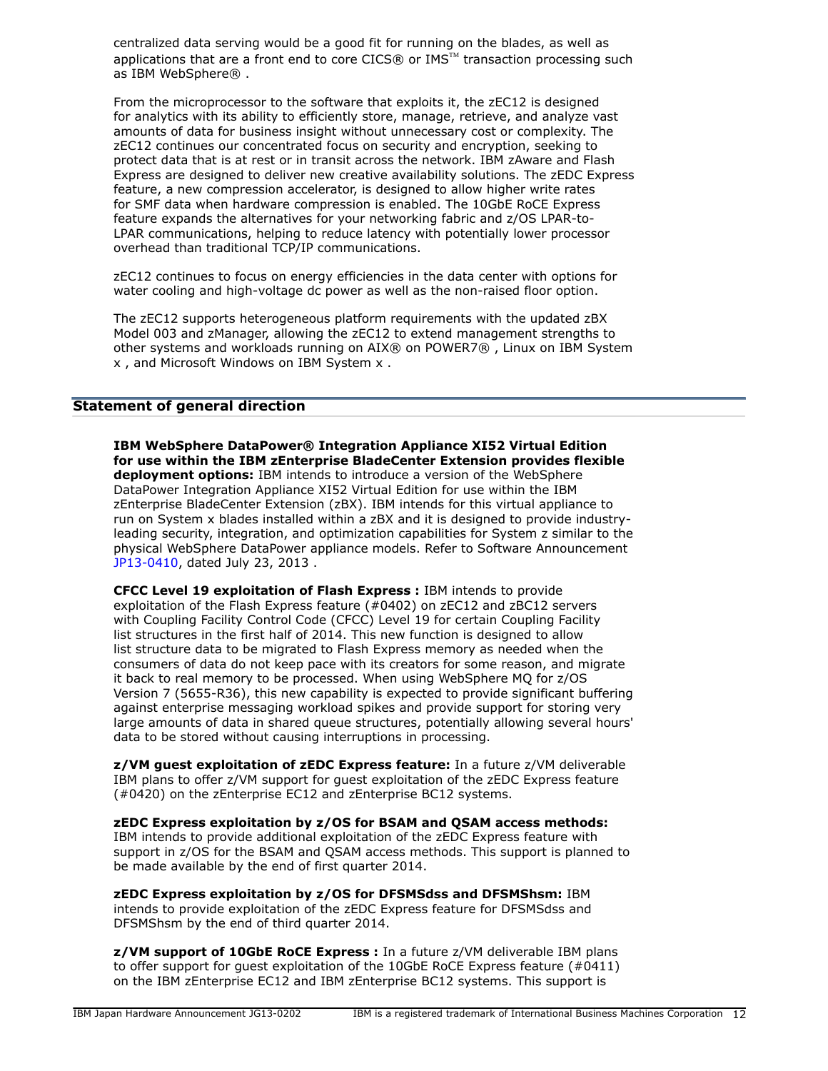centralized data serving would be a good fit for running on the blades, as well as applications that are a front end to core CICS® or  $IMS^{m}$  transaction processing such as IBM WebSphere® .

From the microprocessor to the software that exploits it, the zEC12 is designed for analytics with its ability to efficiently store, manage, retrieve, and analyze vast amounts of data for business insight without unnecessary cost or complexity. The zEC12 continues our concentrated focus on security and encryption, seeking to protect data that is at rest or in transit across the network. IBM zAware and Flash Express are designed to deliver new creative availability solutions. The zEDC Express feature, a new compression accelerator, is designed to allow higher write rates for SMF data when hardware compression is enabled. The 10GbE RoCE Express feature expands the alternatives for your networking fabric and z/OS LPAR-to-LPAR communications, helping to reduce latency with potentially lower processor overhead than traditional TCP/IP communications.

zEC12 continues to focus on energy efficiencies in the data center with options for water cooling and high-voltage dc power as well as the non-raised floor option.

The zEC12 supports heterogeneous platform requirements with the updated zBX Model 003 and zManager, allowing the zEC12 to extend management strengths to other systems and workloads running on AIX® on POWER7® , Linux on IBM System x , and Microsoft Windows on IBM System x .

# <span id="page-11-0"></span>**Statement of general direction**

**IBM WebSphere DataPower® Integration Appliance XI52 Virtual Edition for use within the IBM zEnterprise BladeCenter Extension provides flexible deployment options:** IBM intends to introduce a version of the WebSphere DataPower Integration Appliance XI52 Virtual Edition for use within the IBM zEnterprise BladeCenter Extension (zBX). IBM intends for this virtual appliance to run on System x blades installed within a zBX and it is designed to provide industryleading security, integration, and optimization capabilities for System z similar to the physical WebSphere DataPower appliance models. Refer to Software Announcement [JP13-0410,](http://www.ibm.com/common/ssi/cgi-bin/ssialias?infotype=an&subtype=ca&appname=gpateam&supplier=760&letternum=ENUSJP13-0410) dated July 23, 2013 .

**CFCC Level 19 exploitation of Flash Express :** IBM intends to provide exploitation of the Flash Express feature (#0402) on zEC12 and zBC12 servers with Coupling Facility Control Code (CFCC) Level 19 for certain Coupling Facility list structures in the first half of 2014. This new function is designed to allow list structure data to be migrated to Flash Express memory as needed when the consumers of data do not keep pace with its creators for some reason, and migrate it back to real memory to be processed. When using WebSphere MQ for z/OS Version 7 (5655-R36), this new capability is expected to provide significant buffering against enterprise messaging workload spikes and provide support for storing very large amounts of data in shared queue structures, potentially allowing several hours' data to be stored without causing interruptions in processing.

**z/VM guest exploitation of zEDC Express feature:** In a future z/VM deliverable IBM plans to offer z/VM support for guest exploitation of the zEDC Express feature (#0420) on the zEnterprise EC12 and zEnterprise BC12 systems.

**zEDC Express exploitation by z/OS for BSAM and QSAM access methods:** IBM intends to provide additional exploitation of the zEDC Express feature with support in z/OS for the BSAM and QSAM access methods. This support is planned to be made available by the end of first quarter 2014.

**zEDC Express exploitation by z/OS for DFSMSdss and DFSMShsm:** IBM intends to provide exploitation of the zEDC Express feature for DFSMSdss and DFSMShsm by the end of third quarter 2014.

**z/VM support of 10GbE RoCE Express :** In a future z/VM deliverable IBM plans to offer support for guest exploitation of the 10GbE RoCE Express feature (#0411) on the IBM zEnterprise EC12 and IBM zEnterprise BC12 systems. This support is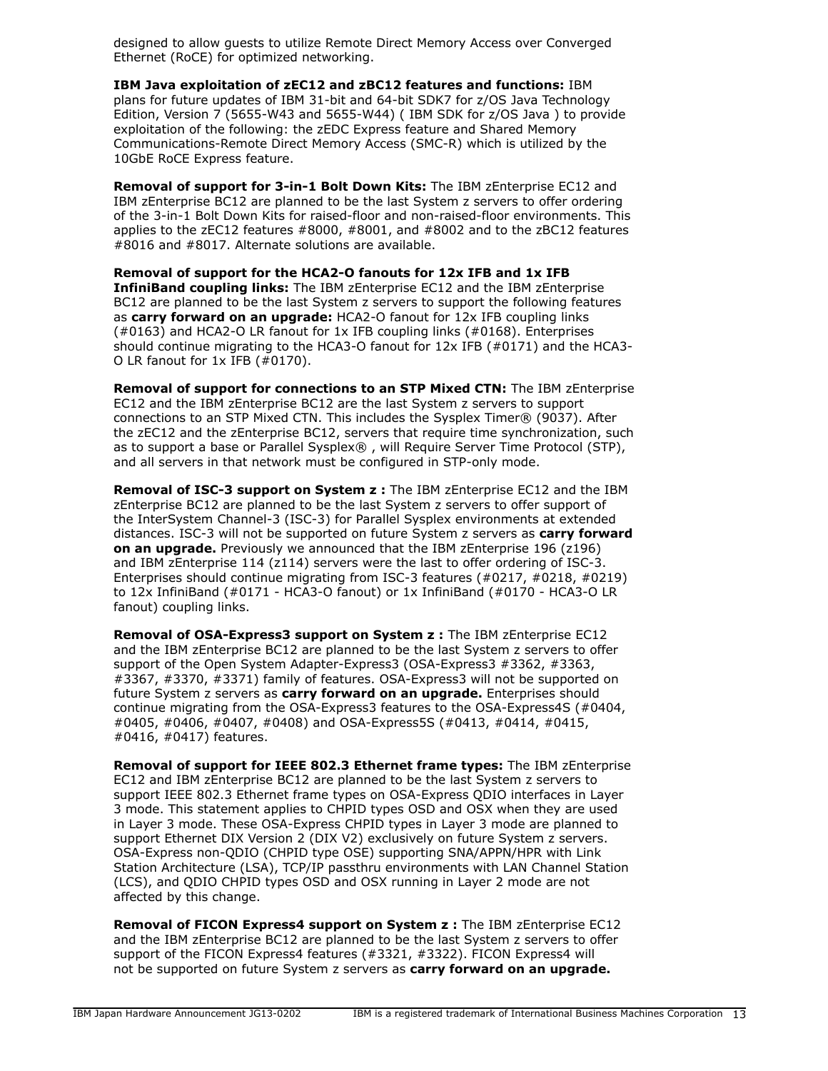designed to allow guests to utilize Remote Direct Memory Access over Converged Ethernet (RoCE) for optimized networking.

**IBM Java exploitation of zEC12 and zBC12 features and functions:** IBM plans for future updates of IBM 31-bit and 64-bit SDK7 for z/OS Java Technology Edition, Version 7 (5655-W43 and 5655-W44) ( IBM SDK for z/OS Java ) to provide exploitation of the following: the zEDC Express feature and Shared Memory Communications-Remote Direct Memory Access (SMC-R) which is utilized by the 10GbE RoCE Express feature.

**Removal of support for 3-in-1 Bolt Down Kits:** The IBM zEnterprise EC12 and IBM zEnterprise BC12 are planned to be the last System z servers to offer ordering of the 3-in-1 Bolt Down Kits for raised-floor and non-raised-floor environments. This applies to the zEC12 features #8000, #8001, and #8002 and to the zBC12 features #8016 and #8017. Alternate solutions are available.

**Removal of support for the HCA2-O fanouts for 12x IFB and 1x IFB InfiniBand coupling links:** The IBM zEnterprise EC12 and the IBM zEnterprise BC12 are planned to be the last System z servers to support the following features as **carry forward on an upgrade:** HCA2-O fanout for 12x IFB coupling links  $(40163)$  and HCA2-O LR fanout for 1x IFB coupling links  $(40168)$ . Enterprises should continue migrating to the HCA3-O fanout for 12x IFB (#0171) and the HCA3- O LR fanout for 1x IFB (#0170).

**Removal of support for connections to an STP Mixed CTN:** The IBM zEnterprise EC12 and the IBM zEnterprise BC12 are the last System z servers to support connections to an STP Mixed CTN. This includes the Sysplex Timer® (9037). After the zEC12 and the zEnterprise BC12, servers that require time synchronization, such as to support a base or Parallel Sysplex® , will Require Server Time Protocol (STP), and all servers in that network must be configured in STP-only mode.

**Removal of ISC-3 support on System z :** The IBM zEnterprise EC12 and the IBM zEnterprise BC12 are planned to be the last System z servers to offer support of the InterSystem Channel-3 (ISC-3) for Parallel Sysplex environments at extended distances. ISC-3 will not be supported on future System z servers as **carry forward on an upgrade.** Previously we announced that the IBM zEnterprise 196 (z196) and IBM zEnterprise 114 (z114) servers were the last to offer ordering of ISC-3. Enterprises should continue migrating from ISC-3 features (#0217, #0218, #0219) to 12x InfiniBand (#0171 - HCA3-O fanout) or 1x InfiniBand (#0170 - HCA3-O LR fanout) coupling links.

**Removal of OSA-Express3 support on System z :** The IBM zEnterprise EC12 and the IBM zEnterprise BC12 are planned to be the last System z servers to offer support of the Open System Adapter-Express3 (OSA-Express3 #3362, #3363, #3367, #3370, #3371) family of features. OSA-Express3 will not be supported on future System z servers as **carry forward on an upgrade.** Enterprises should continue migrating from the OSA-Express3 features to the OSA-Express4S (#0404, #0405, #0406, #0407, #0408) and OSA-Express5S (#0413, #0414, #0415, #0416, #0417) features.

**Removal of support for IEEE 802.3 Ethernet frame types:** The IBM zEnterprise EC12 and IBM zEnterprise BC12 are planned to be the last System z servers to support IEEE 802.3 Ethernet frame types on OSA-Express QDIO interfaces in Layer 3 mode. This statement applies to CHPID types OSD and OSX when they are used in Layer 3 mode. These OSA-Express CHPID types in Layer 3 mode are planned to support Ethernet DIX Version 2 (DIX V2) exclusively on future System z servers. OSA-Express non-QDIO (CHPID type OSE) supporting SNA/APPN/HPR with Link Station Architecture (LSA), TCP/IP passthru environments with LAN Channel Station (LCS), and QDIO CHPID types OSD and OSX running in Layer 2 mode are not affected by this change.

**Removal of FICON Express4 support on System z :** The IBM zEnterprise EC12 and the IBM zEnterprise BC12 are planned to be the last System z servers to offer support of the FICON Express4 features (#3321, #3322). FICON Express4 will not be supported on future System z servers as **carry forward on an upgrade.**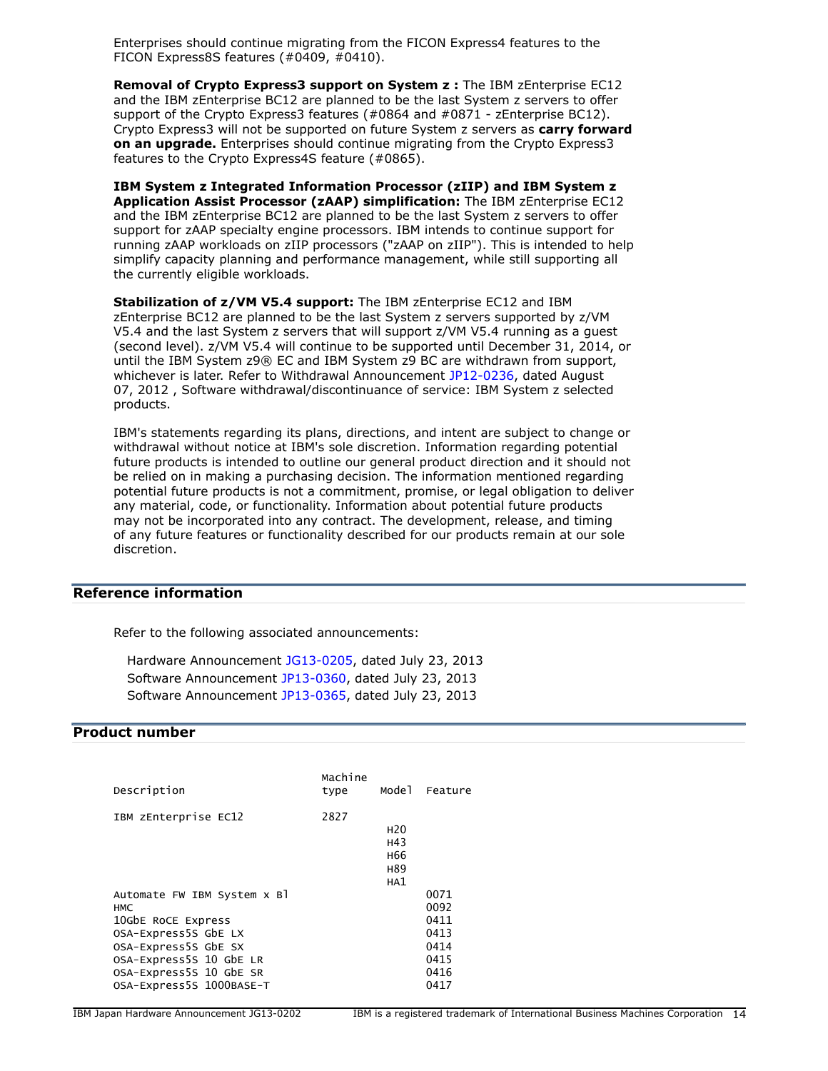Enterprises should continue migrating from the FICON Express4 features to the FICON Express8S features (#0409, #0410).

**Removal of Crypto Express3 support on System z :** The IBM zEnterprise EC12 and the IBM zEnterprise BC12 are planned to be the last System z servers to offer support of the Crypto Express3 features (#0864 and #0871 - zEnterprise BC12). Crypto Express3 will not be supported on future System z servers as **carry forward on an upgrade.** Enterprises should continue migrating from the Crypto Express3 features to the Crypto Express4S feature (#0865).

**IBM System z Integrated Information Processor (zIIP) and IBM System z Application Assist Processor (zAAP) simplification:** The IBM zEnterprise EC12 and the IBM zEnterprise BC12 are planned to be the last System z servers to offer support for zAAP specialty engine processors. IBM intends to continue support for running zAAP workloads on zIIP processors ("zAAP on zIIP"). This is intended to help simplify capacity planning and performance management, while still supporting all the currently eligible workloads.

**Stabilization of z/VM V5.4 support:** The IBM zEnterprise EC12 and IBM zEnterprise BC12 are planned to be the last System z servers supported by z/VM V5.4 and the last System z servers that will support z/VM V5.4 running as a guest (second level). z/VM V5.4 will continue to be supported until December 31, 2014, or until the IBM System z9® EC and IBM System z9 BC are withdrawn from support, whichever is later. Refer to Withdrawal Announcement [JP12-0236](http://www.ibm.com/common/ssi/cgi-bin/ssialias?infotype=an&subtype=ca&appname=gpateam&supplier=760&letternum=ENUSJP12-0236), dated August 07, 2012 , Software withdrawal/discontinuance of service: IBM System z selected products.

IBM's statements regarding its plans, directions, and intent are subject to change or withdrawal without notice at IBM's sole discretion. Information regarding potential future products is intended to outline our general product direction and it should not be relied on in making a purchasing decision. The information mentioned regarding potential future products is not a commitment, promise, or legal obligation to deliver any material, code, or functionality. Information about potential future products may not be incorporated into any contract. The development, release, and timing of any future features or functionality described for our products remain at our sole discretion.

#### **Reference information**

Refer to the following associated announcements:

Hardware Announcement [JG13-0205,](http://www.ibm.com/common/ssi/cgi-bin/ssialias?infotype=an&subtype=ca&appname=gpateam&supplier=760&letternum=ENUSJG13-0205) dated July 23, 2013 Software Announcement [JP13-0360](http://www.ibm.com/common/ssi/cgi-bin/ssialias?infotype=an&subtype=ca&appname=gpateam&supplier=760&letternum=ENUSJP13-0360), dated July 23, 2013 Software Announcement [JP13-0365](http://www.ibm.com/common/ssi/cgi-bin/ssialias?infotype=an&subtype=ca&appname=gpateam&supplier=760&letternum=ENUSJP13-0365), dated July 23, 2013

#### <span id="page-13-0"></span>**Product number**

| Description                               | Machine<br>type | Model                                                   | Feature      |
|-------------------------------------------|-----------------|---------------------------------------------------------|--------------|
| IBM zEnterprise EC12                      | 2827            | H <sub>20</sub><br>H43<br>H <sub>66</sub><br>H89<br>HA1 |              |
| Automate FW IBM System x Bl<br><b>HMC</b> |                 |                                                         | 0071<br>0092 |
| 10GbE RoCE Express                        |                 |                                                         | 0411         |
| OSA-Express5S GbE LX                      |                 |                                                         | 0413         |
| OSA-Express5S GbE SX                      |                 |                                                         | 0414         |
| OSA-Express5S 10 GbE LR                   |                 |                                                         | 0415         |
| OSA-Express5S 10 GbE SR                   |                 |                                                         | 0416         |
| OSA-Express5S 1000BASE-T                  |                 |                                                         | 0417         |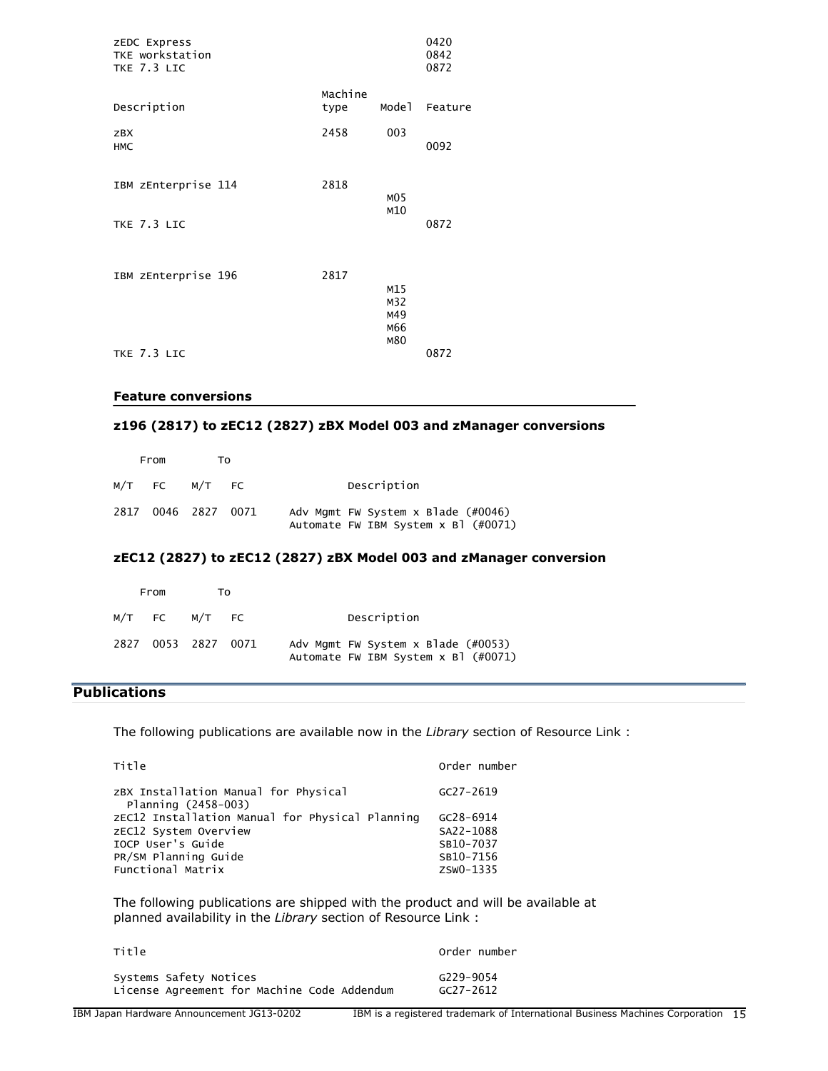| ZEDC Express<br>TKE workstation<br>TKE 7.3 LIC |                 |                                 | 0420<br>0842<br>0872 |
|------------------------------------------------|-----------------|---------------------------------|----------------------|
| Description                                    | Machine<br>type | Mode <sub>1</sub>               | Feature              |
| <b>ZBX</b><br><b>HMC</b>                       | 2458            | 003                             | 0092                 |
| IBM zEnterprise 114                            | 2818            | MO <sub>5</sub>                 |                      |
| TKE 7.3 LIC                                    |                 | M10                             | 0872                 |
| IBM zEnterprise 196                            | 2817            | M15<br>M32<br>M49<br>M66<br>M80 |                      |
| TKE 7.3 LIC                                    |                 |                                 | 0872                 |

#### **Feature conversions**

# **z196 (2817) to zEC12 (2827) zBX Model 003 and zManager conversions**

| From                | тი |                                                                             |
|---------------------|----|-----------------------------------------------------------------------------|
| M/T FC M/T FC       |    | Description                                                                 |
| 2817 0046 2827 0071 |    | Adv Mgmt FW System x Blade (#0046)<br>Automate FW IBM System $x$ B] (#0071) |

# **zEC12 (2827) to zEC12 (2827) zBX Model 003 and zManager conversion**

| From |                     | т٥ |                                                                             |
|------|---------------------|----|-----------------------------------------------------------------------------|
|      | M/T FC M/T FC       |    | Description                                                                 |
|      | 2827 0053 2827 0071 |    | Adv Mgmt FW System x Blade (#0053)<br>Automate FW IBM System $x$ B] (#0071) |

# <span id="page-14-0"></span>**Publications**

The following publications are available now in the *Library* section of Resource Link :

| Title                                                       | Order number  |
|-------------------------------------------------------------|---------------|
| ZBX Installation Manual for Physical<br>Planning (2458-003) | $GC27 - 2619$ |
| zEC12 Installation Manual for Physical Planning             | GC28-6914     |
| ZEC12 System Overview                                       | SA22-1088     |
| TOCP User's Guide                                           | SB10-7037     |
| PR/SM Planning Guide                                        | SB10-7156     |
| Functional Matrix                                           | ZSW0-1335     |

The following publications are shipped with the product and will be available at planned availability in the *Library* section of Resource Link :

| Title                                       | Order number  |
|---------------------------------------------|---------------|
| Systems Safety Notices                      | G229-9054     |
| License Agreement for Machine Code Addendum | $GC27 - 2612$ |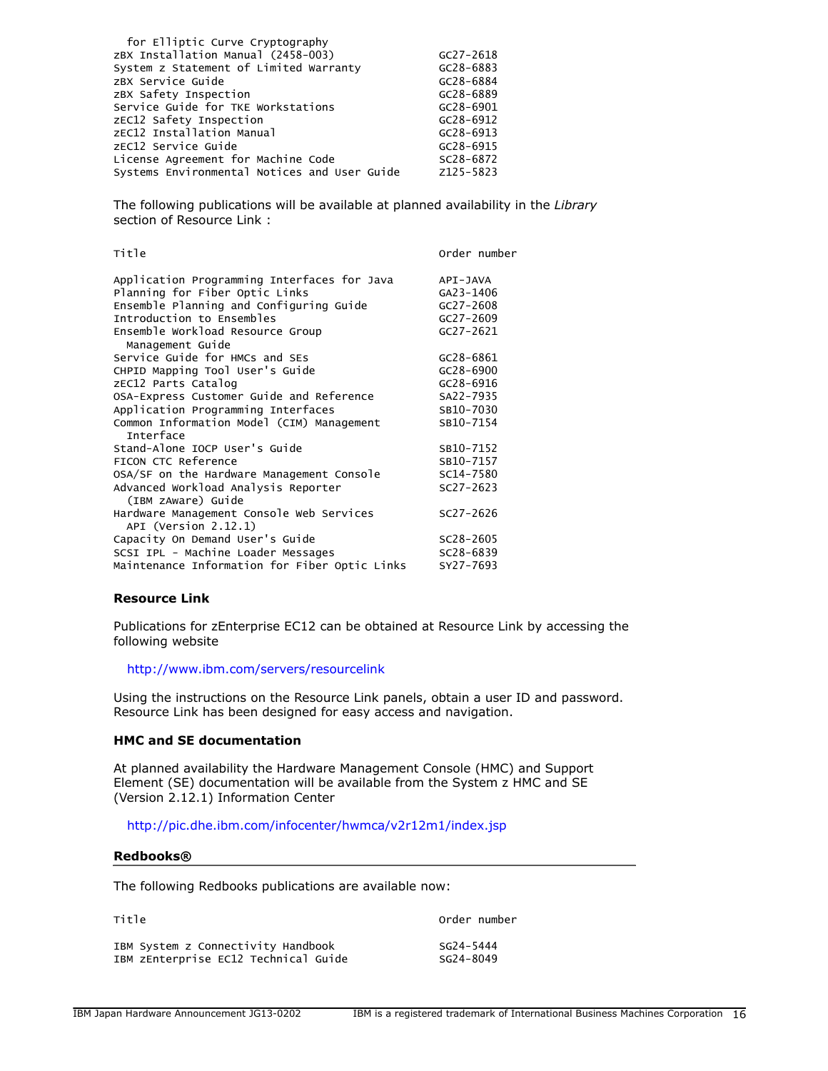| for Elliptic Curve Cryptography              |               |
|----------------------------------------------|---------------|
| ZBX Installation Manual (2458-003)           | $GC27 - 2618$ |
| System z Statement of Limited Warranty       | GC28-6883     |
| ZBX Service Guide                            | GC28-6884     |
| zBX Safety Inspection                        | GC28-6889     |
| Service Guide for TKE Workstations           | $GC28 - 6901$ |
| zEC12 Safety Inspection                      | GC28-6912     |
| zEC12 Installation Manual                    | $GC28 - 6913$ |
| zEC12 Service Guide                          | $GC28 - 6915$ |
| License Agreement for Machine Code           | SC28-6872     |
| Systems Environmental Notices and User Guide | Z125-5823     |

The following publications will be available at planned availability in the *Library* section of Resource Link :

| Title                                                            | Order number  |
|------------------------------------------------------------------|---------------|
| Application Programming Interfaces for Java                      | API-JAVA      |
| Planning for Fiber Optic Links                                   | GA23-1406     |
| Ensemble Planning and Configuring Guide                          | $GC27 - 2608$ |
| Introduction to Ensembles                                        | GC27-2609     |
| Ensemble Workload Resource Group<br>Management Guide             | $GC27 - 2621$ |
| Service Guide for HMCs and SES                                   | GC28-6861     |
| CHPID Mapping Tool User's Guide                                  | $GC28 - 6900$ |
| zEC12 Parts Catalog                                              | GC28-6916     |
| OSA-Express Customer Guide and Reference                         | SA22-7935     |
| Application Programming Interfaces                               | SB10-7030     |
| Common Information Model (CIM) Management<br>Interface           | SB10-7154     |
| Stand-Alone IOCP User's Guide                                    | SB10-7152     |
| FICON CTC Reference                                              | SB10-7157     |
| OSA/SF on the Hardware Management Console                        | SC14-7580     |
| Advanced Workload Analysis Reporter<br>(IBM zAware) Guide        | $SC27 - 2623$ |
| Hardware Management Console Web Services<br>API (Version 2.12.1) | SC27-2626     |
| Capacity On Demand User's Guide                                  | SC28-2605     |
| SCSI IPL - Machine Loader Messages                               | SC28-6839     |
| Maintenance Information for Fiber Optic Links                    | SY27-7693     |

#### **Resource Link**

Publications for zEnterprise EC12 can be obtained at Resource Link by accessing the following website

# <http://www.ibm.com/servers/resourcelink>

Using the instructions on the Resource Link panels, obtain a user ID and password. Resource Link has been designed for easy access and navigation.

# **HMC and SE documentation**

At planned availability the Hardware Management Console (HMC) and Support Element (SE) documentation will be available from the System z HMC and SE (Version 2.12.1) Information Center

# <http://pic.dhe.ibm.com/infocenter/hwmca/v2r12m1/index.jsp>

#### **Redbooks®**

The following Redbooks publications are available now:

| Title                                | Order number |
|--------------------------------------|--------------|
| IBM System z Connectivity Handbook   | SG24-5444    |
| IBM zEnterprise EC12 Technical Guide | SG24-8049    |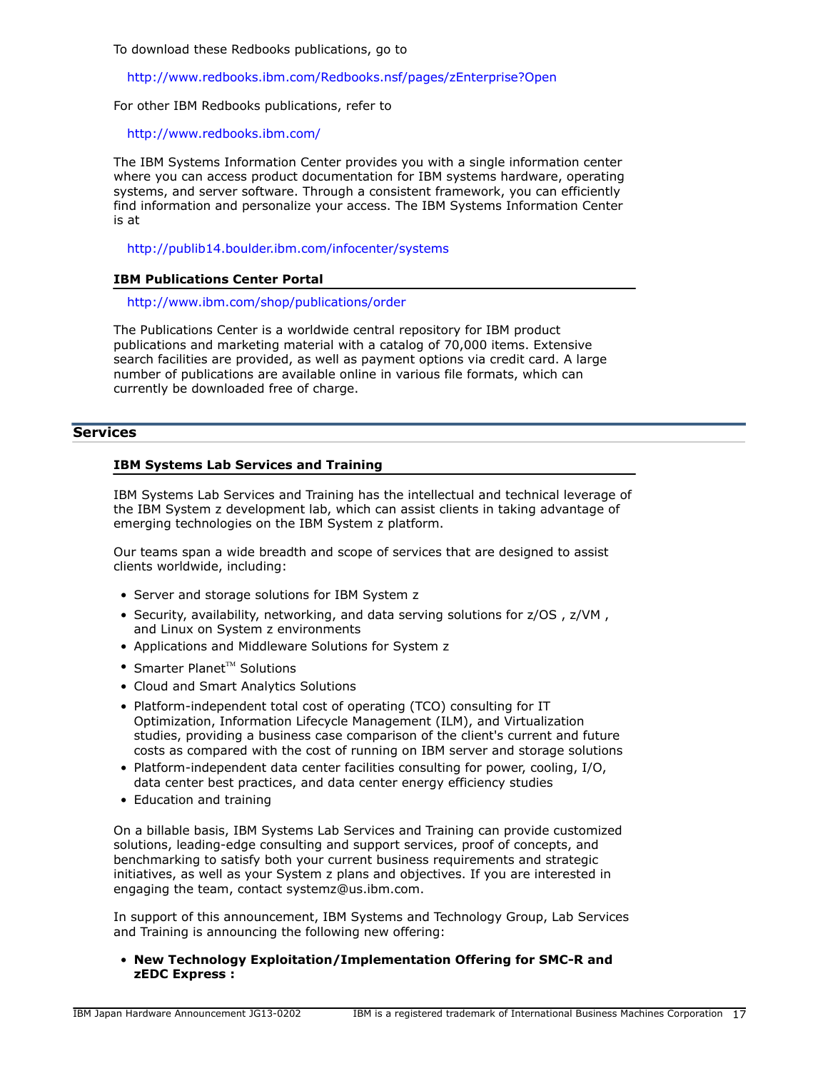To download these Redbooks publications, go to

<http://www.redbooks.ibm.com/Redbooks.nsf/pages/zEnterprise?Open>

For other IBM Redbooks publications, refer to

<http://www.redbooks.ibm.com/>

The IBM Systems Information Center provides you with a single information center where you can access product documentation for IBM systems hardware, operating systems, and server software. Through a consistent framework, you can efficiently find information and personalize your access. The IBM Systems Information Center is at

<http://publib14.boulder.ibm.com/infocenter/systems>

#### **IBM Publications Center Portal**

<http://www.ibm.com/shop/publications/order>

The Publications Center is a worldwide central repository for IBM product publications and marketing material with a catalog of 70,000 items. Extensive search facilities are provided, as well as payment options via credit card. A large number of publications are available online in various file formats, which can currently be downloaded free of charge.

#### **Services**

#### **IBM Systems Lab Services and Training**

IBM Systems Lab Services and Training has the intellectual and technical leverage of the IBM System z development lab, which can assist clients in taking advantage of emerging technologies on the IBM System z platform.

Our teams span a wide breadth and scope of services that are designed to assist clients worldwide, including:

- Server and storage solutions for IBM System z
- Security, availability, networking, and data serving solutions for z/OS , z/VM , and Linux on System z environments
- Applications and Middleware Solutions for System z
- Smarter Planet $TM$  Solutions
- Cloud and Smart Analytics Solutions
- Platform-independent total cost of operating (TCO) consulting for IT Optimization, Information Lifecycle Management (ILM), and Virtualization studies, providing a business case comparison of the client's current and future costs as compared with the cost of running on IBM server and storage solutions
- Platform-independent data center facilities consulting for power, cooling, I/O, data center best practices, and data center energy efficiency studies
- Education and training

On a billable basis, IBM Systems Lab Services and Training can provide customized solutions, leading-edge consulting and support services, proof of concepts, and benchmarking to satisfy both your current business requirements and strategic initiatives, as well as your System z plans and objectives. If you are interested in engaging the team, contact systemz@us.ibm.com.

In support of this announcement, IBM Systems and Technology Group, Lab Services and Training is announcing the following new offering:

• **New Technology Exploitation/Implementation Offering for SMC-R and zEDC Express :**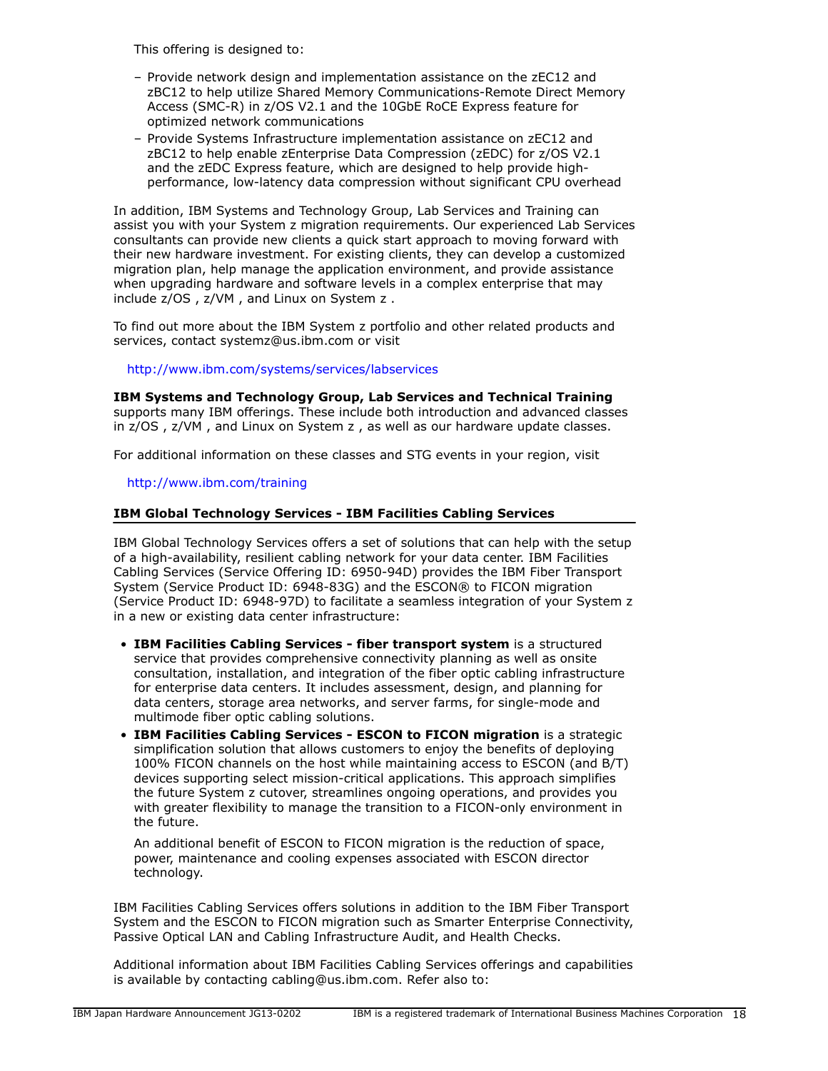This offering is designed to:

- Provide network design and implementation assistance on the zEC12 and zBC12 to help utilize Shared Memory Communications-Remote Direct Memory Access (SMC-R) in z/OS V2.1 and the 10GbE RoCE Express feature for optimized network communications
- Provide Systems Infrastructure implementation assistance on zEC12 and zBC12 to help enable zEnterprise Data Compression (zEDC) for z/OS V2.1 and the zEDC Express feature, which are designed to help provide highperformance, low-latency data compression without significant CPU overhead

In addition, IBM Systems and Technology Group, Lab Services and Training can assist you with your System z migration requirements. Our experienced Lab Services consultants can provide new clients a quick start approach to moving forward with their new hardware investment. For existing clients, they can develop a customized migration plan, help manage the application environment, and provide assistance when upgrading hardware and software levels in a complex enterprise that may include z/OS , z/VM , and Linux on System z .

To find out more about the IBM System z portfolio and other related products and services, contact systemz@us.ibm.com or visit

# <http://www.ibm.com/systems/services/labservices>

**IBM Systems and Technology Group, Lab Services and Technical Training** supports many IBM offerings. These include both introduction and advanced classes in z/OS , z/VM , and Linux on System z , as well as our hardware update classes.

For additional information on these classes and STG events in your region, visit

# <http://www.ibm.com/training>

#### **IBM Global Technology Services - IBM Facilities Cabling Services**

IBM Global Technology Services offers a set of solutions that can help with the setup of a high-availability, resilient cabling network for your data center. IBM Facilities Cabling Services (Service Offering ID: 6950-94D) provides the IBM Fiber Transport System (Service Product ID: 6948-83G) and the ESCON® to FICON migration (Service Product ID: 6948-97D) to facilitate a seamless integration of your System z in a new or existing data center infrastructure:

- **IBM Facilities Cabling Services fiber transport system** is a structured service that provides comprehensive connectivity planning as well as onsite consultation, installation, and integration of the fiber optic cabling infrastructure for enterprise data centers. It includes assessment, design, and planning for data centers, storage area networks, and server farms, for single-mode and multimode fiber optic cabling solutions.
- **IBM Facilities Cabling Services ESCON to FICON migration** is a strategic simplification solution that allows customers to enjoy the benefits of deploying 100% FICON channels on the host while maintaining access to ESCON (and B/T) devices supporting select mission-critical applications. This approach simplifies the future System z cutover, streamlines ongoing operations, and provides you with greater flexibility to manage the transition to a FICON-only environment in the future.

An additional benefit of ESCON to FICON migration is the reduction of space, power, maintenance and cooling expenses associated with ESCON director technology.

IBM Facilities Cabling Services offers solutions in addition to the IBM Fiber Transport System and the ESCON to FICON migration such as Smarter Enterprise Connectivity, Passive Optical LAN and Cabling Infrastructure Audit, and Health Checks.

Additional information about IBM Facilities Cabling Services offerings and capabilities is available by contacting cabling@us.ibm.com. Refer also to: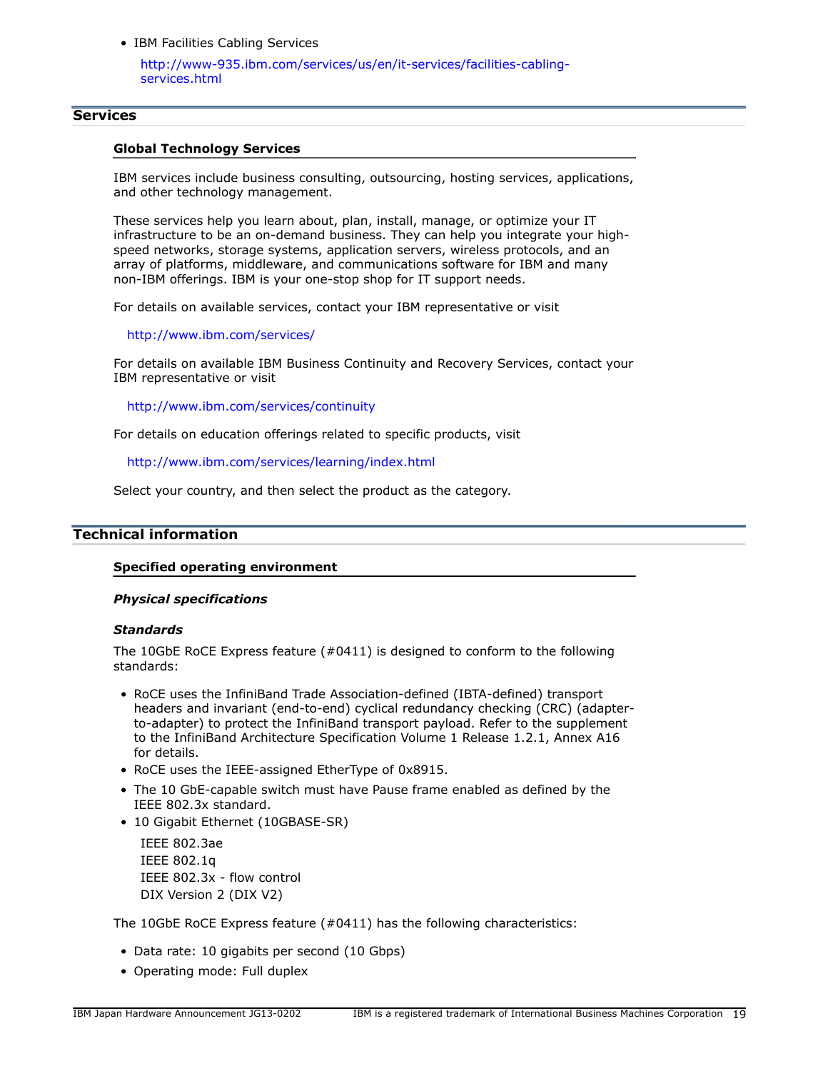• IBM Facilities Cabling Services

[http://www-935.ibm.com/services/us/en/it-services/facilities-cabling](http://www-935.ibm.com/services/us/en/it-services/facilities-cabling-services.html)[services.html](http://www-935.ibm.com/services/us/en/it-services/facilities-cabling-services.html)

#### **Services**

#### **Global Technology Services**

IBM services include business consulting, outsourcing, hosting services, applications, and other technology management.

These services help you learn about, plan, install, manage, or optimize your IT infrastructure to be an on-demand business. They can help you integrate your highspeed networks, storage systems, application servers, wireless protocols, and an array of platforms, middleware, and communications software for IBM and many non-IBM offerings. IBM is your one-stop shop for IT support needs.

For details on available services, contact your IBM representative or visit

<http://www.ibm.com/services/>

For details on available IBM Business Continuity and Recovery Services, contact your IBM representative or visit

<http://www.ibm.com/services/continuity>

For details on education offerings related to specific products, visit

<http://www.ibm.com/services/learning/index.html>

Select your country, and then select the product as the category.

# <span id="page-18-0"></span>**Technical information**

#### **Specified operating environment**

#### *Physical specifications*

#### *Standards*

The 10GbE RoCE Express feature (#0411) is designed to conform to the following standards:

- RoCE uses the InfiniBand Trade Association-defined (IBTA-defined) transport headers and invariant (end-to-end) cyclical redundancy checking (CRC) (adapterto-adapter) to protect the InfiniBand transport payload. Refer to the supplement to the InfiniBand Architecture Specification Volume 1 Release 1.2.1, Annex A16 for details.
- RoCE uses the IEEE-assigned EtherType of 0x8915.
- The 10 GbE-capable switch must have Pause frame enabled as defined by the IEEE 802.3x standard.
- 10 Gigabit Ethernet (10GBASE-SR)

IEEE 802.3ae IEEE 802.1q IEEE 802.3x - flow control DIX Version 2 (DIX V2)

The 10GbE RoCE Express feature (#0411) has the following characteristics:

- Data rate: 10 gigabits per second (10 Gbps)
- Operating mode: Full duplex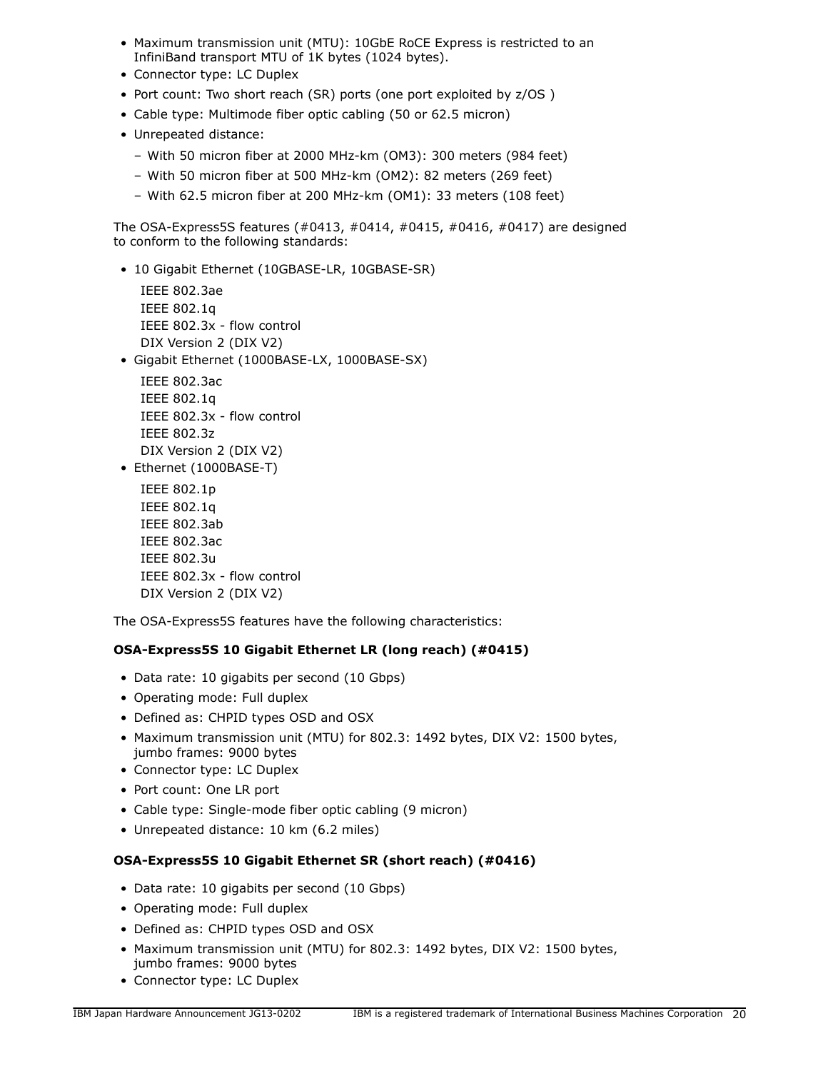- Maximum transmission unit (MTU): 10GbE RoCE Express is restricted to an InfiniBand transport MTU of 1K bytes (1024 bytes).
- Connector type: LC Duplex
- Port count: Two short reach (SR) ports (one port exploited by z/OS )
- Cable type: Multimode fiber optic cabling (50 or 62.5 micron)
- Unrepeated distance:
	- With 50 micron fiber at 2000 MHz-km (OM3): 300 meters (984 feet)
	- With 50 micron fiber at 500 MHz-km (OM2): 82 meters (269 feet)
	- With 62.5 micron fiber at 200 MHz-km (OM1): 33 meters (108 feet)

The OSA-Express5S features (#0413, #0414, #0415, #0416, #0417) are designed to conform to the following standards:

• 10 Gigabit Ethernet (10GBASE-LR, 10GBASE-SR)

```
IEEE 802.3ae
IEEE 802.1q
IEEE 802.3x - flow control
DIX Version 2 (DIX V2)
```
• Gigabit Ethernet (1000BASE-LX, 1000BASE-SX)

IEEE 802.3ac IEEE 802.1q IEEE 802.3x - flow control IEEE 802.3z DIX Version 2 (DIX V2)

• Ethernet (1000BASE-T)

IEEE 802.1p IEEE 802.1q IEEE 802.3ab IEEE 802.3ac IEEE 802.3u IEEE 802.3x - flow control DIX Version 2 (DIX V2)

The OSA-Express5S features have the following characteristics:

# **OSA-Express5S 10 Gigabit Ethernet LR (long reach) (#0415)**

- Data rate: 10 gigabits per second (10 Gbps)
- Operating mode: Full duplex
- Defined as: CHPID types OSD and OSX
- Maximum transmission unit (MTU) for 802.3: 1492 bytes, DIX V2: 1500 bytes, jumbo frames: 9000 bytes
- Connector type: LC Duplex
- Port count: One LR port
- Cable type: Single-mode fiber optic cabling (9 micron)
- Unrepeated distance: 10 km (6.2 miles)

# **OSA-Express5S 10 Gigabit Ethernet SR (short reach) (#0416)**

- Data rate: 10 gigabits per second (10 Gbps)
- Operating mode: Full duplex
- Defined as: CHPID types OSD and OSX
- Maximum transmission unit (MTU) for 802.3: 1492 bytes, DIX V2: 1500 bytes, jumbo frames: 9000 bytes
- Connector type: LC Duplex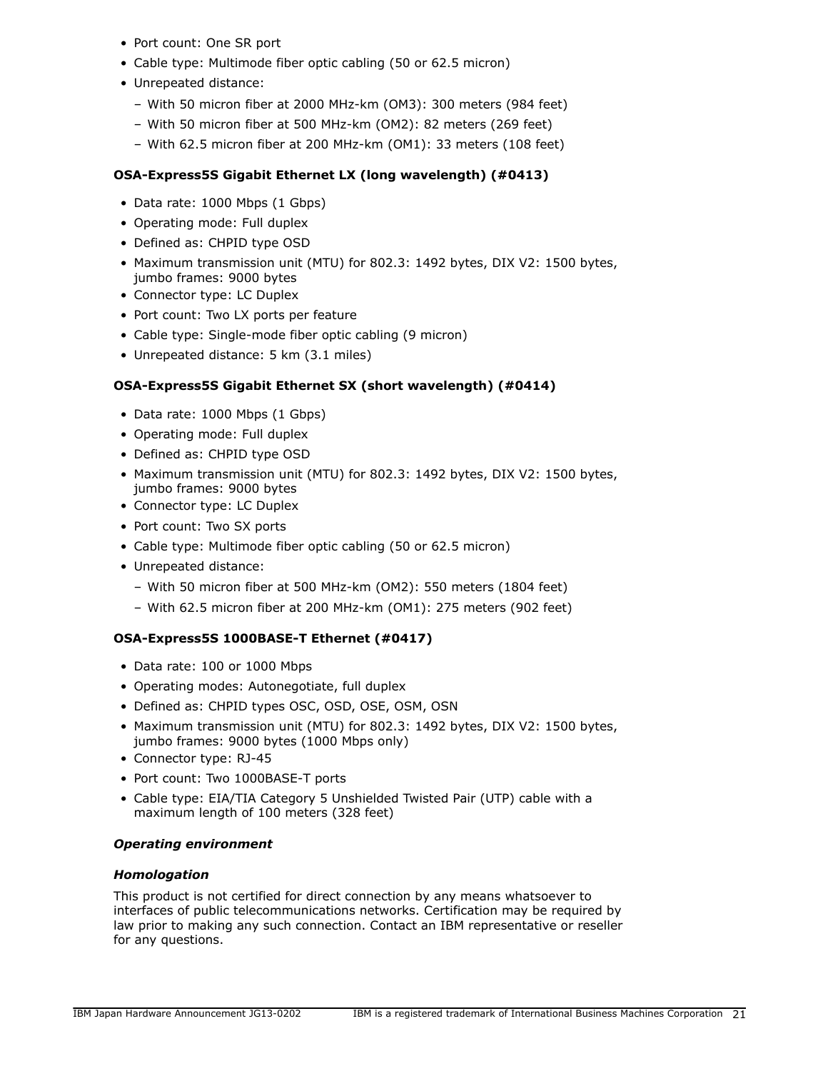- Port count: One SR port
- Cable type: Multimode fiber optic cabling (50 or 62.5 micron)
- Unrepeated distance:
	- With 50 micron fiber at 2000 MHz-km (OM3): 300 meters (984 feet)
	- With 50 micron fiber at 500 MHz-km (OM2): 82 meters (269 feet)
	- With 62.5 micron fiber at 200 MHz-km (OM1): 33 meters (108 feet)

# **OSA-Express5S Gigabit Ethernet LX (long wavelength) (#0413)**

- Data rate: 1000 Mbps (1 Gbps)
- Operating mode: Full duplex
- Defined as: CHPID type OSD
- Maximum transmission unit (MTU) for 802.3: 1492 bytes, DIX V2: 1500 bytes, jumbo frames: 9000 bytes
- Connector type: LC Duplex
- Port count: Two LX ports per feature
- Cable type: Single-mode fiber optic cabling (9 micron)
- Unrepeated distance: 5 km (3.1 miles)

# **OSA-Express5S Gigabit Ethernet SX (short wavelength) (#0414)**

- Data rate: 1000 Mbps (1 Gbps)
- Operating mode: Full duplex
- Defined as: CHPID type OSD
- Maximum transmission unit (MTU) for 802.3: 1492 bytes, DIX V2: 1500 bytes, jumbo frames: 9000 bytes
- Connector type: LC Duplex
- Port count: Two SX ports
- Cable type: Multimode fiber optic cabling (50 or 62.5 micron)
- Unrepeated distance:
	- With 50 micron fiber at 500 MHz-km (OM2): 550 meters (1804 feet)
	- With 62.5 micron fiber at 200 MHz-km (OM1): 275 meters (902 feet)

# **OSA-Express5S 1000BASE-T Ethernet (#0417)**

- Data rate: 100 or 1000 Mbps
- Operating modes: Autonegotiate, full duplex
- Defined as: CHPID types OSC, OSD, OSE, OSM, OSN
- Maximum transmission unit (MTU) for 802.3: 1492 bytes, DIX V2: 1500 bytes, jumbo frames: 9000 bytes (1000 Mbps only)
- Connector type: RJ-45
- Port count: Two 1000BASE-T ports
- Cable type: EIA/TIA Category 5 Unshielded Twisted Pair (UTP) cable with a maximum length of 100 meters (328 feet)

# *Operating environment*

# *Homologation*

This product is not certified for direct connection by any means whatsoever to interfaces of public telecommunications networks. Certification may be required by law prior to making any such connection. Contact an IBM representative or reseller for any questions.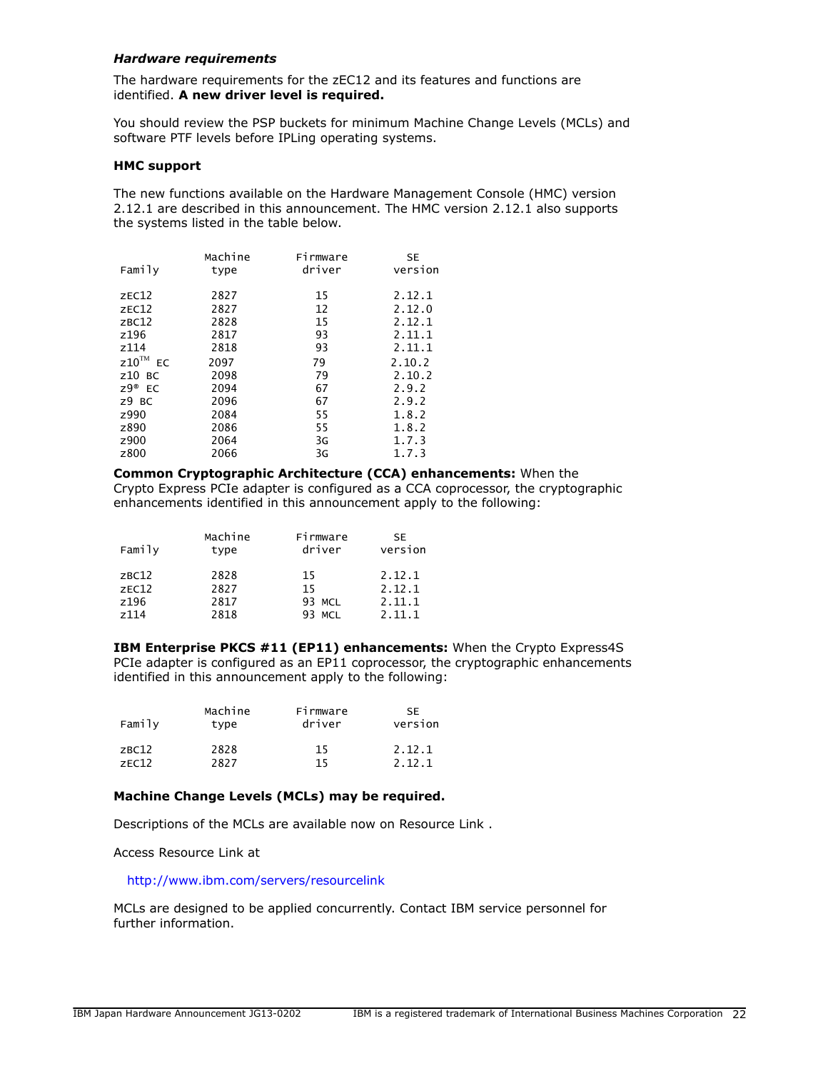#### <span id="page-21-0"></span>*Hardware requirements*

The hardware requirements for the zEC12 and its features and functions are identified. **A new driver level is required.**

You should review the PSP buckets for minimum Machine Change Levels (MCLs) and software PTF levels before IPLing operating systems.

#### **HMC support**

The new functions available on the Hardware Management Console (HMC) version 2.12.1 are described in this announcement. The HMC version 2.12.1 also supports the systems listed in the table below.

|                 | Machine | Firmware | <b>SE</b> |
|-----------------|---------|----------|-----------|
| Family          | type    | driver   | version   |
| ZEC12           | 2827    | 15       | 2.12.1    |
| ZEC12           | 2827    | 12       | 2.12.0    |
| ZBC12           | 2828    | 15       | 2.12.1    |
| z196            | 2817    | 93       | 2.11.1    |
| z114            | 2818    | 93       | 2.11.1    |
| $Z10^{TM}$ EC   | 2097    | 79       | 2.10.2    |
| $z10$ BC        | 2098    | 79       | 2.10.2    |
| $Z9^{\circ}$ EC | 2094    | 67       | 2.9.2     |
| $Z9$ BC         | 2096    | 67       | 2.9.2     |
| z990            | 2084    | 55       | 1.8.2     |
| z890            | 2086    | 55       | 1.8.2     |
| z900            | 2064    | 3G       | 1.7.3     |
| z800            | 2066    | 3G       | 1.7.3     |

#### **Common Cryptographic Architecture (CCA) enhancements:** When the Crypto Express PCIe adapter is configured as a CCA coprocessor, the cryptographic enhancements identified in this announcement apply to the following:

| Family           | Machine<br>type | Firmware<br>driver | SE<br>version |
|------------------|-----------------|--------------------|---------------|
| ZBC12            | 2828            | 15                 | 2.12.1        |
| ZEC12            | 2827            | 15                 | 2.12.1        |
| z196             | 2817            | 93 MCL             | 2.11.1        |
| z <sub>114</sub> | 2818            | <b>MCL</b><br>93.  | 2.11.1        |

**IBM Enterprise PKCS #11 (EP11) enhancements:** When the Crypto Express4S PCIe adapter is configured as an EP11 coprocessor, the cryptographic enhancements identified in this announcement apply to the following:

| Family | Machine | Firmware | SE.     |
|--------|---------|----------|---------|
|        | type    | driver   | version |
| ZBC12  | 2828    | 15       | 2.12.1  |
| ZFC12  | 2827    | 15       | 2 12 1  |

# **Machine Change Levels (MCLs) may be required.**

Descriptions of the MCLs are available now on Resource Link .

Access Resource Link at

<http://www.ibm.com/servers/resourcelink>

MCLs are designed to be applied concurrently. Contact IBM service personnel for further information.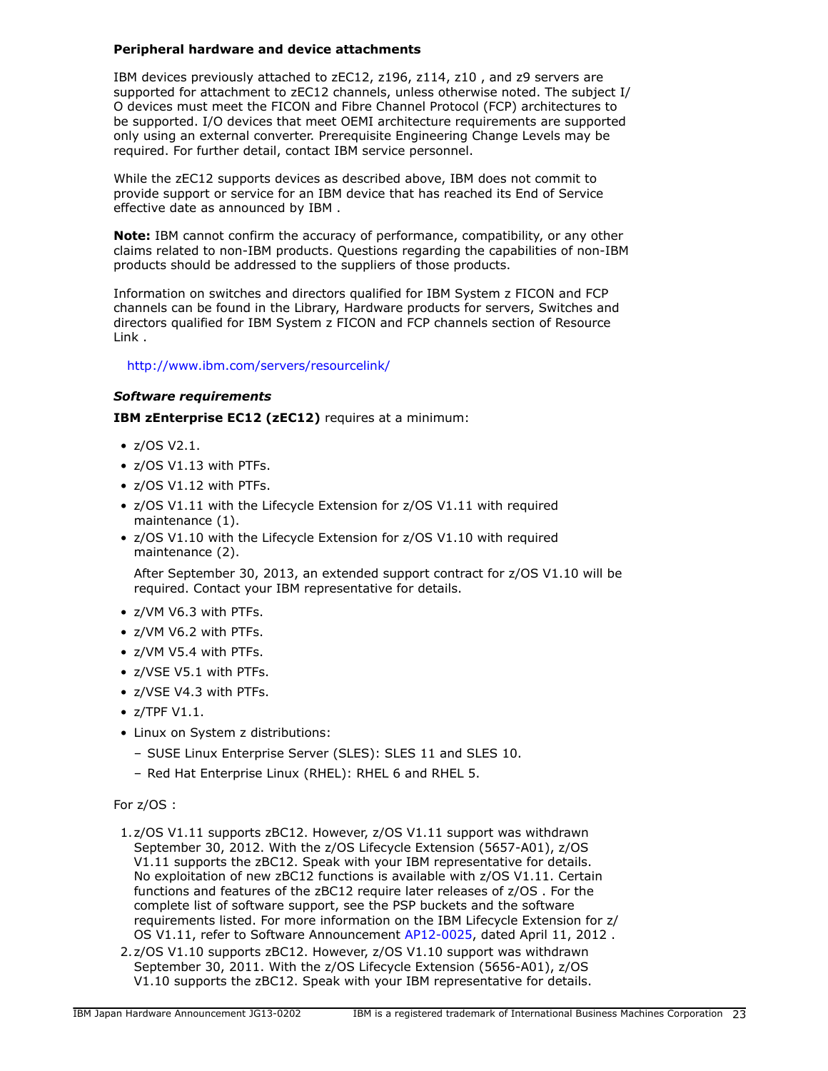# **Peripheral hardware and device attachments**

IBM devices previously attached to zEC12, z196, z114, z10 , and z9 servers are supported for attachment to zEC12 channels, unless otherwise noted. The subject I/ O devices must meet the FICON and Fibre Channel Protocol (FCP) architectures to be supported. I/O devices that meet OEMI architecture requirements are supported only using an external converter. Prerequisite Engineering Change Levels may be required. For further detail, contact IBM service personnel.

While the zEC12 supports devices as described above, IBM does not commit to provide support or service for an IBM device that has reached its End of Service effective date as announced by IBM .

**Note:** IBM cannot confirm the accuracy of performance, compatibility, or any other claims related to non-IBM products. Questions regarding the capabilities of non-IBM products should be addressed to the suppliers of those products.

Information on switches and directors qualified for IBM System z FICON and FCP channels can be found in the Library, Hardware products for servers, Switches and directors qualified for IBM System z FICON and FCP channels section of Resource Link .

# <http://www.ibm.com/servers/resourcelink/>

# <span id="page-22-0"></span>*Software requirements*

**IBM zEnterprise EC12 (zEC12)** requires at a minimum:

- z/OS V2.1.
- z/OS V1.13 with PTFs.
- z/OS V1.12 with PTFs.
- z/OS V1.11 with the Lifecycle Extension for z/OS V1.11 with required maintenance (1).
- z/OS V1.10 with the Lifecycle Extension for z/OS V1.10 with required maintenance (2).

After September 30, 2013, an extended support contract for z/OS V1.10 will be required. Contact your IBM representative for details.

- z/VM V6.3 with PTFs.
- z/VM V6.2 with PTFs.
- z/VM V5.4 with PTFs.
- z/VSE V5.1 with PTFs.
- z/VSE V4.3 with PTFs.
- z/TPF V1.1.
- Linux on System z distributions:
	- SUSE Linux Enterprise Server (SLES): SLES 11 and SLES 10.
	- Red Hat Enterprise Linux (RHEL): RHEL 6 and RHEL 5.

#### For z/OS :

- 1.z/OS V1.11 supports zBC12. However, z/OS V1.11 support was withdrawn September 30, 2012. With the z/OS Lifecycle Extension (5657-A01), z/OS V1.11 supports the zBC12. Speak with your IBM representative for details. No exploitation of new zBC12 functions is available with z/OS V1.11. Certain functions and features of the zBC12 require later releases of z/OS . For the complete list of software support, see the PSP buckets and the software requirements listed. For more information on the IBM Lifecycle Extension for z/ OS V1.11, refer to Software Announcement [AP12-0025](http://www.ibm.com/common/ssi/cgi-bin/ssialias?infotype=an&subtype=ca&appname=gpateam&supplier=872&letternum=ENUSAP12-0025), dated April 11, 2012 .
- 2.z/OS V1.10 supports zBC12. However, z/OS V1.10 support was withdrawn September 30, 2011. With the z/OS Lifecycle Extension (5656-A01), z/OS V1.10 supports the zBC12. Speak with your IBM representative for details.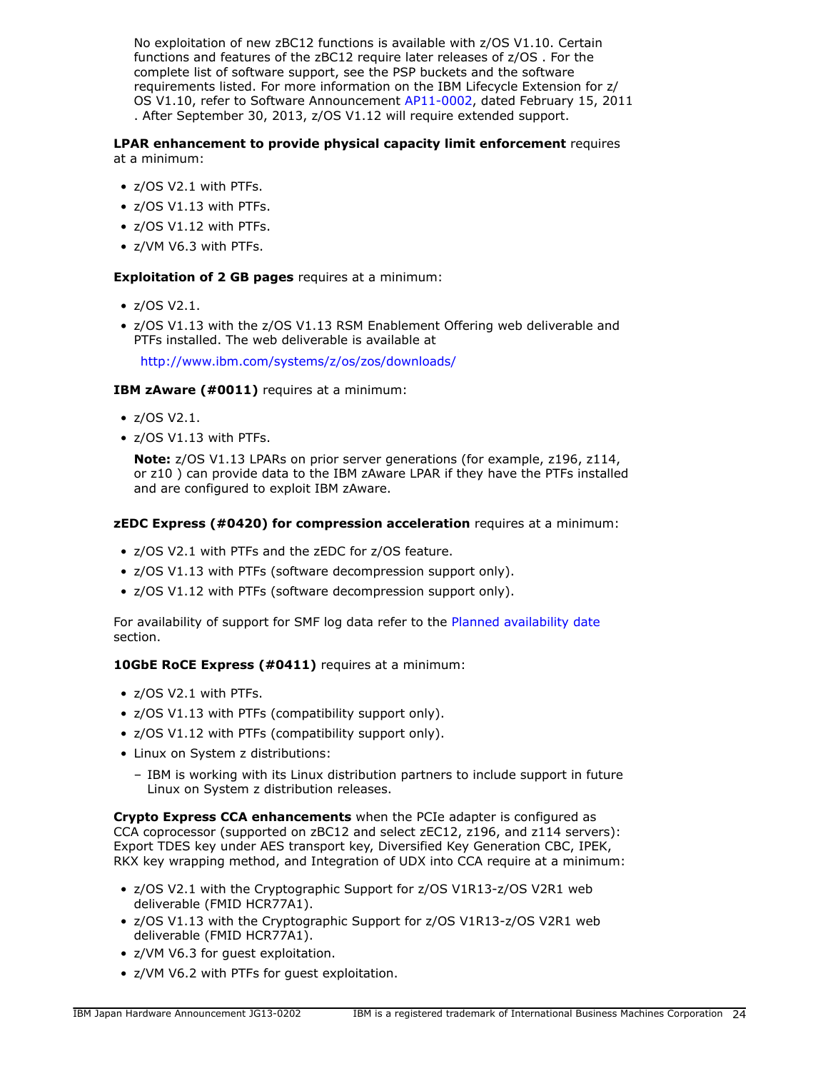No exploitation of new zBC12 functions is available with z/OS V1.10. Certain functions and features of the zBC12 require later releases of z/OS . For the complete list of software support, see the PSP buckets and the software requirements listed. For more information on the IBM Lifecycle Extension for z/ OS V1.10, refer to Software Announcement [AP11-0002](http://www.ibm.com/common/ssi/cgi-bin/ssialias?infotype=an&subtype=ca&appname=gpateam&supplier=872&letternum=ENUSAP11-0002), dated February 15, 2011 . After September 30, 2013, z/OS V1.12 will require extended support.

#### **LPAR enhancement to provide physical capacity limit enforcement** requires at a minimum:

- z/OS V2.1 with PTFs.
- z/OS V1.13 with PTFs.
- z/OS V1.12 with PTFs.
- z/VM V6.3 with PTFs.

# **Exploitation of 2 GB pages** requires at a minimum:

- z/OS V2.1.
- z/OS V1.13 with the z/OS V1.13 RSM Enablement Offering web deliverable and PTFs installed. The web deliverable is available at

<http://www.ibm.com/systems/z/os/zos/downloads/>

# **IBM zAware (#0011)** requires at a minimum:

- z/OS V2.1.
- z/OS V1.13 with PTFs.

**Note:** z/OS V1.13 LPARs on prior server generations (for example, z196, z114, or z10 ) can provide data to the IBM zAware LPAR if they have the PTFs installed and are configured to exploit IBM zAware.

# **zEDC Express (#0420) for compression acceleration** requires at a minimum:

- z/OS V2.1 with PTFs and the zEDC for z/OS feature.
- z/OS V1.13 with PTFs (software decompression support only).
- z/OS V1.12 with PTFs (software decompression support only).

For availability of support for SMF log data refer to the [Planned availability date](#page-2-1) section.

# **10GbE RoCE Express (#0411)** requires at a minimum:

- z/OS V2.1 with PTFs.
- z/OS V1.13 with PTFs (compatibility support only).
- z/OS V1.12 with PTFs (compatibility support only).
- Linux on System z distributions:
	- IBM is working with its Linux distribution partners to include support in future Linux on System z distribution releases.

**Crypto Express CCA enhancements** when the PCIe adapter is configured as CCA coprocessor (supported on zBC12 and select zEC12, z196, and z114 servers): Export TDES key under AES transport key, Diversified Key Generation CBC, IPEK, RKX key wrapping method, and Integration of UDX into CCA require at a minimum:

- z/OS V2.1 with the Cryptographic Support for z/OS V1R13-z/OS V2R1 web deliverable (FMID HCR77A1).
- z/OS V1.13 with the Cryptographic Support for z/OS V1R13-z/OS V2R1 web deliverable (FMID HCR77A1).
- z/VM V6.3 for guest exploitation.
- z/VM V6.2 with PTFs for guest exploitation.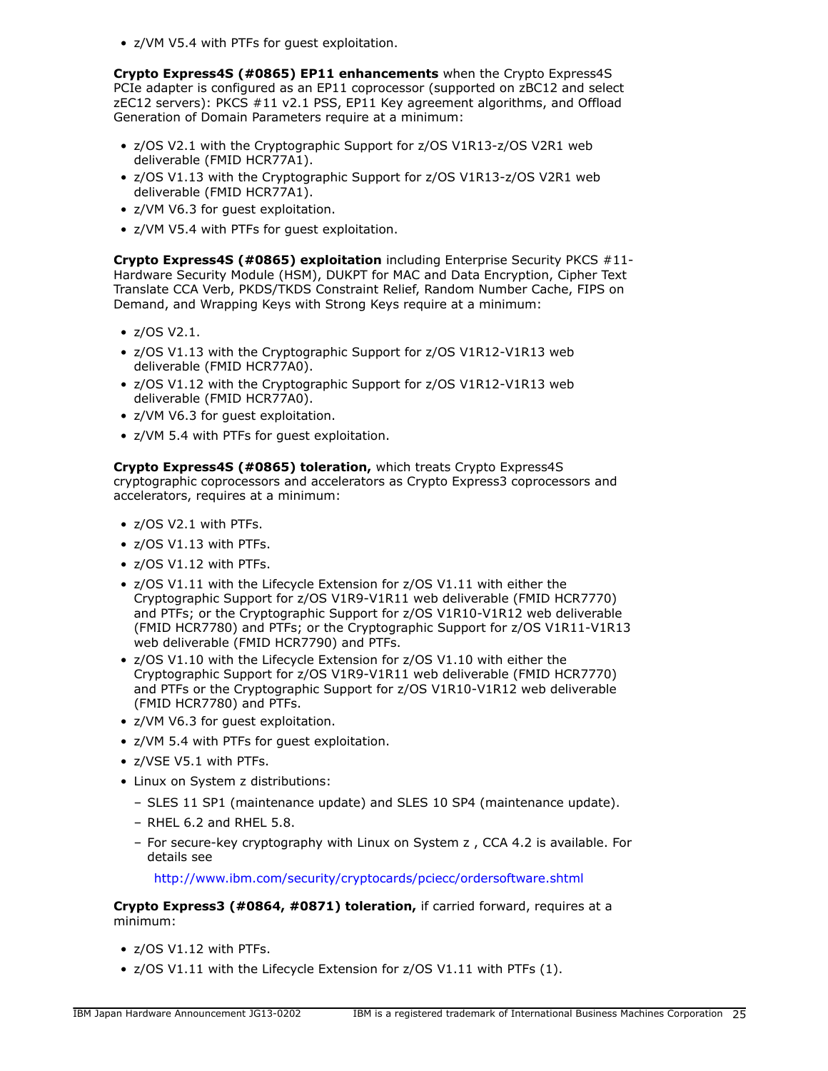• z/VM V5.4 with PTFs for guest exploitation.

**Crypto Express4S (#0865) EP11 enhancements** when the Crypto Express4S PCIe adapter is configured as an EP11 coprocessor (supported on zBC12 and select zEC12 servers): PKCS #11 v2.1 PSS, EP11 Key agreement algorithms, and Offload Generation of Domain Parameters require at a minimum:

- z/OS V2.1 with the Cryptographic Support for z/OS V1R13-z/OS V2R1 web deliverable (FMID HCR77A1).
- z/OS V1.13 with the Cryptographic Support for z/OS V1R13-z/OS V2R1 web deliverable (FMID HCR77A1).
- z/VM V6.3 for guest exploitation.
- z/VM V5.4 with PTFs for guest exploitation.

**Crypto Express4S (#0865) exploitation** including Enterprise Security PKCS #11- Hardware Security Module (HSM), DUKPT for MAC and Data Encryption, Cipher Text Translate CCA Verb, PKDS/TKDS Constraint Relief, Random Number Cache, FIPS on Demand, and Wrapping Keys with Strong Keys require at a minimum:

- z/OS V2.1.
- z/OS V1.13 with the Cryptographic Support for z/OS V1R12-V1R13 web deliverable (FMID HCR77A0).
- z/OS V1.12 with the Cryptographic Support for z/OS V1R12-V1R13 web deliverable (FMID HCR77A0).
- z/VM V6.3 for guest exploitation.
- z/VM 5.4 with PTFs for guest exploitation.

#### **Crypto Express4S (#0865) toleration,** which treats Crypto Express4S

cryptographic coprocessors and accelerators as Crypto Express3 coprocessors and accelerators, requires at a minimum:

- z/OS V2.1 with PTFs.
- z/OS V1.13 with PTFs.
- z/OS V1.12 with PTFs.
- z/OS V1.11 with the Lifecycle Extension for z/OS V1.11 with either the Cryptographic Support for z/OS V1R9-V1R11 web deliverable (FMID HCR7770) and PTFs; or the Cryptographic Support for z/OS V1R10-V1R12 web deliverable (FMID HCR7780) and PTFs; or the Cryptographic Support for z/OS V1R11-V1R13 web deliverable (FMID HCR7790) and PTFs.
- z/OS V1.10 with the Lifecycle Extension for z/OS V1.10 with either the Cryptographic Support for z/OS V1R9-V1R11 web deliverable (FMID HCR7770) and PTFs or the Cryptographic Support for z/OS V1R10-V1R12 web deliverable (FMID HCR7780) and PTFs.
- z/VM V6.3 for guest exploitation.
- z/VM 5.4 with PTFs for guest exploitation.
- z/VSE V5.1 with PTFs.
- Linux on System z distributions:
	- SLES 11 SP1 (maintenance update) and SLES 10 SP4 (maintenance update).
	- RHEL 6.2 and RHEL 5.8.
	- For secure-key cryptography with Linux on System z , CCA 4.2 is available. For details see

<http://www.ibm.com/security/cryptocards/pciecc/ordersoftware.shtml>

**Crypto Express3 (#0864, #0871) toleration,** if carried forward, requires at a minimum:

- z/OS V1.12 with PTFs.
- z/OS V1.11 with the Lifecycle Extension for z/OS V1.11 with PTFs (1).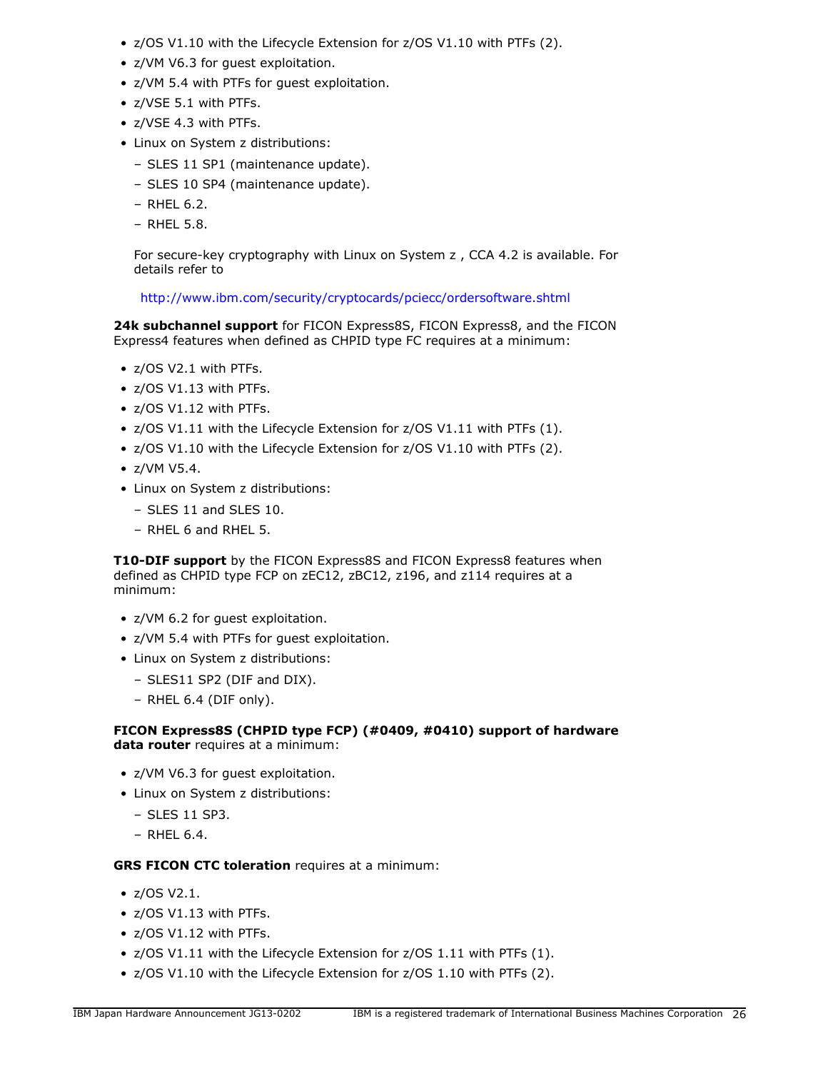- z/OS V1.10 with the Lifecycle Extension for z/OS V1.10 with PTFs (2).
- z/VM V6.3 for guest exploitation.
- z/VM 5.4 with PTFs for guest exploitation.
- z/VSE 5.1 with PTFs.
- z/VSE 4.3 with PTFs.
- Linux on System z distributions:
	- SLES 11 SP1 (maintenance update).
	- SLES 10 SP4 (maintenance update).
	- RHEL 6.2.
	- RHEL 5.8.

For secure-key cryptography with Linux on System z , CCA 4.2 is available. For details refer to

<http://www.ibm.com/security/cryptocards/pciecc/ordersoftware.shtml>

24k subchannel support for FICON Express8S, FICON Express8, and the FICON Express4 features when defined as CHPID type FC requires at a minimum:

- z/OS V2.1 with PTFs.
- z/OS V1.13 with PTFs.
- z/OS V1.12 with PTFs.
- z/OS V1.11 with the Lifecycle Extension for z/OS V1.11 with PTFs (1).
- z/OS V1.10 with the Lifecycle Extension for z/OS V1.10 with PTFs (2).
- z/VM V5.4.
- Linux on System z distributions:
	- SLES 11 and SLES 10.
	- RHEL 6 and RHEL 5.

**T10-DIF support** by the FICON Express8S and FICON Express8 features when defined as CHPID type FCP on zEC12, zBC12, z196, and z114 requires at a minimum:

- z/VM 6.2 for guest exploitation.
- z/VM 5.4 with PTFs for guest exploitation.
- Linux on System z distributions:
	- SLES11 SP2 (DIF and DIX).
	- RHEL 6.4 (DIF only).

# **FICON Express8S (CHPID type FCP) (#0409, #0410) support of hardware data router** requires at a minimum:

- z/VM V6.3 for guest exploitation.
- Linux on System z distributions:
	- SLES 11 SP3.
	- RHEL 6.4.

# **GRS FICON CTC toleration** requires at a minimum:

- z/OS V2.1.
- z/OS V1.13 with PTFs.
- z/OS V1.12 with PTFs.
- z/OS V1.11 with the Lifecycle Extension for z/OS 1.11 with PTFs (1).
- z/OS V1.10 with the Lifecycle Extension for z/OS 1.10 with PTFs (2).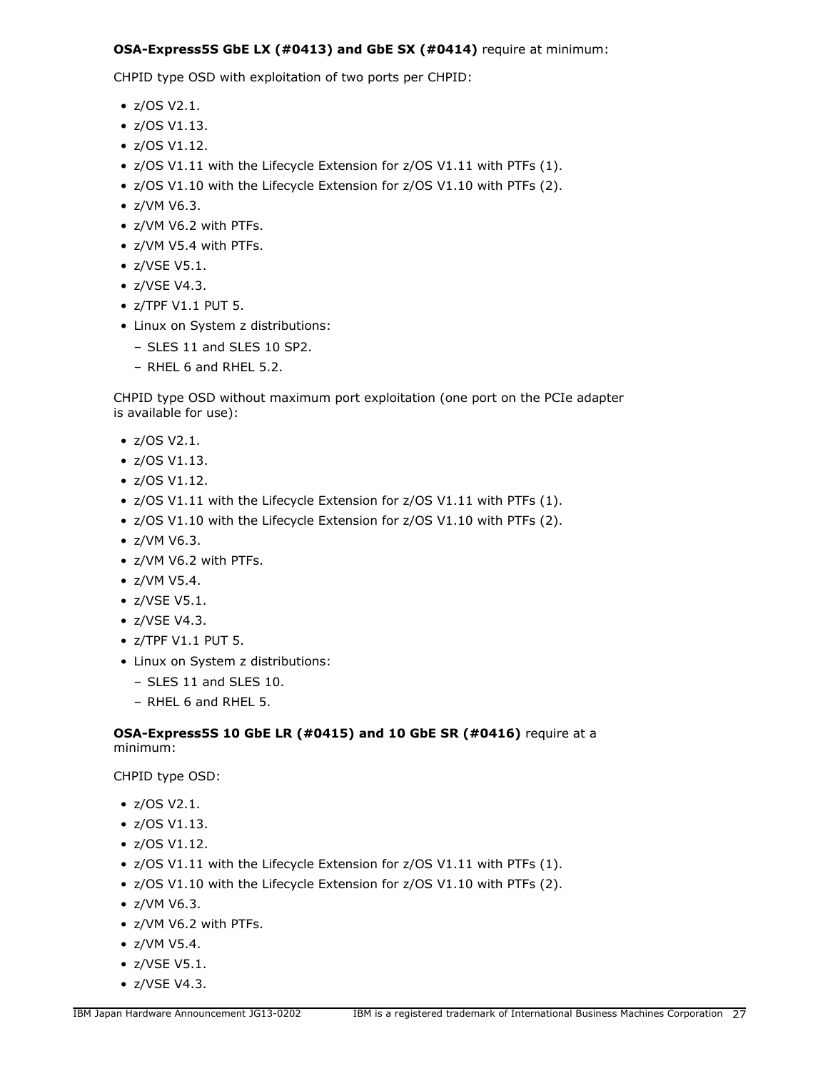# **OSA-Express5S GbE LX (#0413) and GbE SX (#0414)** require at minimum:

CHPID type OSD with exploitation of two ports per CHPID:

- z/OS V2.1.
- z/OS V1.13.
- z/OS V1.12.
- z/OS V1.11 with the Lifecycle Extension for z/OS V1.11 with PTFs (1).
- z/OS V1.10 with the Lifecycle Extension for z/OS V1.10 with PTFs (2).
- z/VM V6.3.
- z/VM V6.2 with PTFs.
- z/VM V5.4 with PTFs.
- z/VSE V5.1.
- z/VSE V4.3.
- z/TPF V1.1 PUT 5.
- Linux on System z distributions:
	- SLES 11 and SLES 10 SP2.
	- RHEL 6 and RHEL 5.2.

CHPID type OSD without maximum port exploitation (one port on the PCIe adapter is available for use):

- z/OS V2.1.
- z/OS V1.13.
- z/OS V1.12.
- z/OS V1.11 with the Lifecycle Extension for z/OS V1.11 with PTFs (1).
- z/OS V1.10 with the Lifecycle Extension for z/OS V1.10 with PTFs (2).
- z/VM V6.3.
- z/VM V6.2 with PTFs.
- z/VM V5.4.
- z/VSE V5.1.
- z/VSE V4.3.
- z/TPF V1.1 PUT 5.
- Linux on System z distributions:
	- SLES 11 and SLES 10.
	- RHEL 6 and RHEL 5.

# **OSA-Express5S 10 GbE LR (#0415) and 10 GbE SR (#0416)** require at a minimum:

CHPID type OSD:

- z/OS V2.1.
- z/OS V1.13.
- z/OS V1.12.
- z/OS V1.11 with the Lifecycle Extension for z/OS V1.11 with PTFs (1).
- z/OS V1.10 with the Lifecycle Extension for z/OS V1.10 with PTFs (2).
- z/VM V6.3.
- z/VM V6.2 with PTFs.
- z/VM V5.4.
- z/VSE V5.1.
- z/VSE V4.3.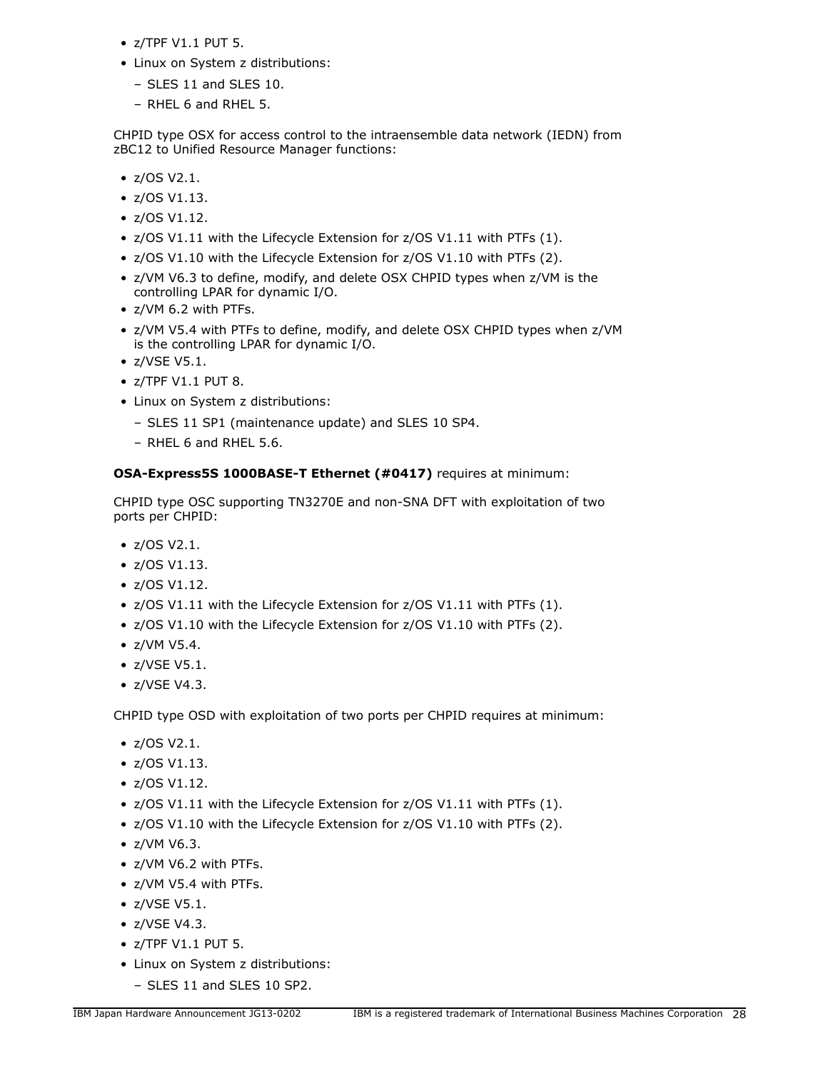- z/TPF V1.1 PUT 5.
- Linux on System z distributions:
	- SLES 11 and SLES 10.
	- RHEL 6 and RHEL 5.

CHPID type OSX for access control to the intraensemble data network (IEDN) from zBC12 to Unified Resource Manager functions:

- z/OS V2.1.
- z/OS V1.13.
- z/OS V1.12.
- z/OS V1.11 with the Lifecycle Extension for z/OS V1.11 with PTFs (1).
- z/OS V1.10 with the Lifecycle Extension for z/OS V1.10 with PTFs (2).
- z/VM V6.3 to define, modify, and delete OSX CHPID types when z/VM is the controlling LPAR for dynamic I/O.
- z/VM 6.2 with PTFs.
- z/VM V5.4 with PTFs to define, modify, and delete OSX CHPID types when z/VM is the controlling LPAR for dynamic I/O.
- z/VSE V5.1.
- z/TPF V1.1 PUT 8.
- Linux on System z distributions:
	- SLES 11 SP1 (maintenance update) and SLES 10 SP4.
	- RHEL 6 and RHEL 5.6.

**OSA-Express5S 1000BASE-T Ethernet (#0417)** requires at minimum:

CHPID type OSC supporting TN3270E and non-SNA DFT with exploitation of two ports per CHPID:

- z/OS V2.1.
- z/OS V1.13.
- z/OS V1.12.
- z/OS V1.11 with the Lifecycle Extension for z/OS V1.11 with PTFs (1).
- z/OS V1.10 with the Lifecycle Extension for z/OS V1.10 with PTFs (2).
- z/VM V5.4.
- z/VSE V5.1.
- z/VSE V4.3.

CHPID type OSD with exploitation of two ports per CHPID requires at minimum:

- z/OS V2.1.
- z/OS V1.13.
- z/OS V1.12.
- z/OS V1.11 with the Lifecycle Extension for z/OS V1.11 with PTFs (1).
- z/OS V1.10 with the Lifecycle Extension for z/OS V1.10 with PTFs (2).
- z/VM V6.3.
- z/VM V6.2 with PTFs.
- z/VM V5.4 with PTFs.
- z/VSE V5.1.
- z/VSE V4.3.
- z/TPF V1.1 PUT 5.
- Linux on System z distributions:
	- SLES 11 and SLES 10 SP2.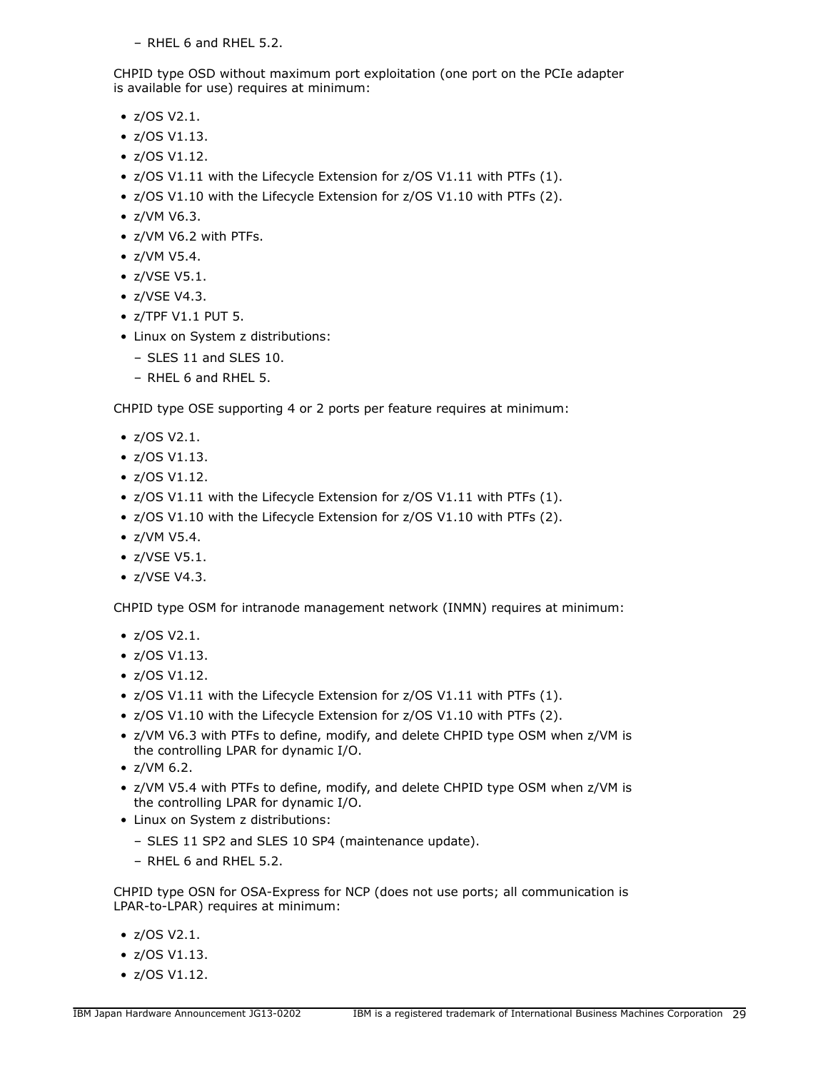– RHEL 6 and RHEL 5.2.

CHPID type OSD without maximum port exploitation (one port on the PCIe adapter is available for use) requires at minimum:

- z/OS V2.1.
- z/OS V1.13.
- z/OS V1.12.
- z/OS V1.11 with the Lifecycle Extension for z/OS V1.11 with PTFs (1).
- z/OS V1.10 with the Lifecycle Extension for z/OS V1.10 with PTFs (2).
- z/VM V6.3.
- z/VM V6.2 with PTFs.
- z/VM V5.4.
- z/VSE V5.1.
- z/VSE V4.3.
- z/TPF V1.1 PUT 5.
- Linux on System z distributions:
	- SLES 11 and SLES 10.
	- RHEL 6 and RHEL 5.

CHPID type OSE supporting 4 or 2 ports per feature requires at minimum:

- z/OS V2.1.
- z/OS V1.13.
- z/OS V1.12.
- z/OS V1.11 with the Lifecycle Extension for z/OS V1.11 with PTFs (1).
- z/OS V1.10 with the Lifecycle Extension for z/OS V1.10 with PTFs (2).
- z/VM V5.4.
- z/VSE V5.1.
- z/VSE V4.3.

CHPID type OSM for intranode management network (INMN) requires at minimum:

- z/OS V2.1.
- z/OS V1.13.
- z/OS V1.12.
- z/OS V1.11 with the Lifecycle Extension for z/OS V1.11 with PTFs (1).
- z/OS V1.10 with the Lifecycle Extension for z/OS V1.10 with PTFs (2).
- z/VM V6.3 with PTFs to define, modify, and delete CHPID type OSM when z/VM is the controlling LPAR for dynamic I/O.
- z/VM 6.2.
- z/VM V5.4 with PTFs to define, modify, and delete CHPID type OSM when z/VM is the controlling LPAR for dynamic I/O.
- Linux on System z distributions:
	- SLES 11 SP2 and SLES 10 SP4 (maintenance update).
	- RHEL 6 and RHEL 5.2.

CHPID type OSN for OSA-Express for NCP (does not use ports; all communication is LPAR-to-LPAR) requires at minimum:

- z/OS V2.1.
- z/OS V1.13.
- z/OS V1.12.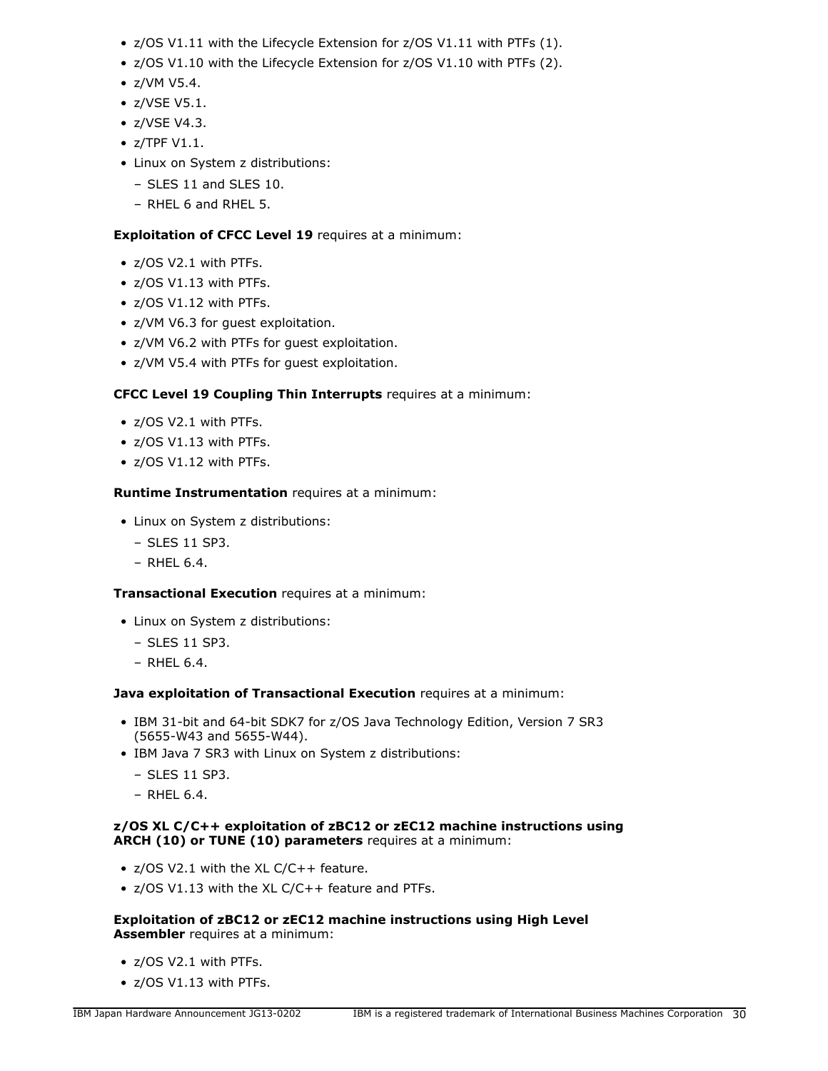- z/OS V1.11 with the Lifecycle Extension for z/OS V1.11 with PTFs (1).
- z/OS V1.10 with the Lifecycle Extension for z/OS V1.10 with PTFs (2).
- z/VM V5.4.
- z/VSE V5.1.
- z/VSE V4.3.
- z/TPF V1.1.
- Linux on System z distributions:
	- SLES 11 and SLES 10.
	- RHEL 6 and RHEL 5.

# **Exploitation of CFCC Level 19** requires at a minimum:

- z/OS V2.1 with PTFs.
- z/OS V1.13 with PTFs.
- z/OS V1.12 with PTFs.
- z/VM V6.3 for guest exploitation.
- z/VM V6.2 with PTFs for guest exploitation.
- z/VM V5.4 with PTFs for guest exploitation.

# **CFCC Level 19 Coupling Thin Interrupts** requires at a minimum:

- z/OS V2.1 with PTFs.
- z/OS V1.13 with PTFs.
- z/OS V1.12 with PTFs.

# **Runtime Instrumentation** requires at a minimum:

- Linux on System z distributions:
	- SLES 11 SP3.
	- RHEL 6.4.

# **Transactional Execution** requires at a minimum:

- Linux on System z distributions:
	- SLES 11 SP3.
	- RHEL 6.4.

**Java exploitation of Transactional Execution** requires at a minimum:

- IBM 31-bit and 64-bit SDK7 for z/OS Java Technology Edition, Version 7 SR3 (5655-W43 and 5655-W44).
- IBM Java 7 SR3 with Linux on System z distributions:
	- SLES 11 SP3.
	- RHEL 6.4.

# **z/OS XL C/C++ exploitation of zBC12 or zEC12 machine instructions using ARCH (10) or TUNE (10) parameters** requires at a minimum:

- z/OS V2.1 with the XL C/C++ feature.
- z/OS V1.13 with the XL C/C++ feature and PTFs.

# **Exploitation of zBC12 or zEC12 machine instructions using High Level Assembler** requires at a minimum:

- z/OS V2.1 with PTFs.
- z/OS V1.13 with PTFs.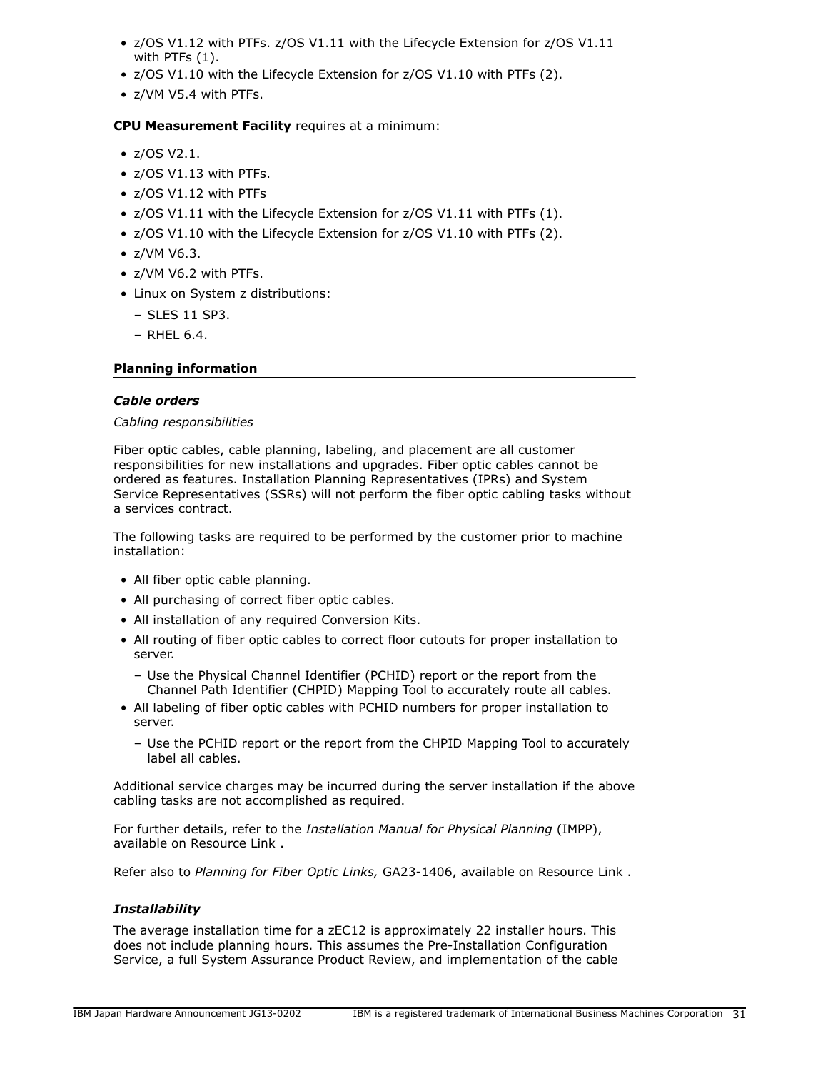- z/OS V1.12 with PTFs. z/OS V1.11 with the Lifecycle Extension for z/OS V1.11 with PTFs (1).
- z/OS V1.10 with the Lifecycle Extension for z/OS V1.10 with PTFs (2).
- z/VM V5.4 with PTFs.

# **CPU Measurement Facility** requires at a minimum:

- z/OS V2.1.
- z/OS V1.13 with PTFs.
- z/OS V1.12 with PTFs
- z/OS V1.11 with the Lifecycle Extension for z/OS V1.11 with PTFs (1).
- z/OS V1.10 with the Lifecycle Extension for z/OS V1.10 with PTFs (2).
- z/VM V6.3.
- z/VM V6.2 with PTFs.
- Linux on System z distributions:
	- SLES 11 SP3.
	- RHEL 6.4.

# **Planning information**

#### *Cable orders*

# *Cabling responsibilities*

Fiber optic cables, cable planning, labeling, and placement are all customer responsibilities for new installations and upgrades. Fiber optic cables cannot be ordered as features. Installation Planning Representatives (IPRs) and System Service Representatives (SSRs) will not perform the fiber optic cabling tasks without a services contract.

The following tasks are required to be performed by the customer prior to machine installation:

- All fiber optic cable planning.
- All purchasing of correct fiber optic cables.
- All installation of any required Conversion Kits.
- All routing of fiber optic cables to correct floor cutouts for proper installation to server.
	- Use the Physical Channel Identifier (PCHID) report or the report from the Channel Path Identifier (CHPID) Mapping Tool to accurately route all cables.
- All labeling of fiber optic cables with PCHID numbers for proper installation to server.
	- Use the PCHID report or the report from the CHPID Mapping Tool to accurately label all cables.

Additional service charges may be incurred during the server installation if the above cabling tasks are not accomplished as required.

For further details, refer to the *Installation Manual for Physical Planning* (IMPP), available on Resource Link .

Refer also to *Planning for Fiber Optic Links,* GA23-1406, available on Resource Link .

# *Installability*

The average installation time for a zEC12 is approximately 22 installer hours. This does not include planning hours. This assumes the Pre-Installation Configuration Service, a full System Assurance Product Review, and implementation of the cable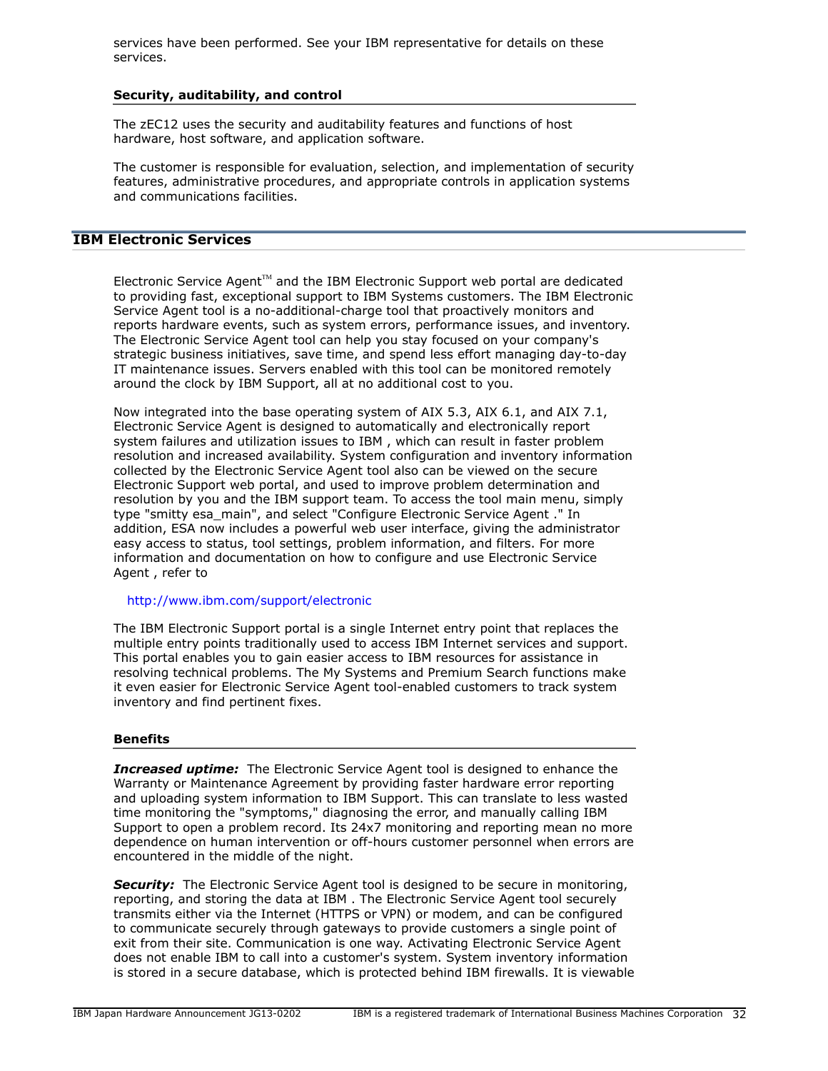services have been performed. See your IBM representative for details on these services.

#### **Security, auditability, and control**

The zEC12 uses the security and auditability features and functions of host hardware, host software, and application software.

The customer is responsible for evaluation, selection, and implementation of security features, administrative procedures, and appropriate controls in application systems and communications facilities.

# **IBM Electronic Services**

Electronic Service Agent $TM$  and the IBM Electronic Support web portal are dedicated to providing fast, exceptional support to IBM Systems customers. The IBM Electronic Service Agent tool is a no-additional-charge tool that proactively monitors and reports hardware events, such as system errors, performance issues, and inventory. The Electronic Service Agent tool can help you stay focused on your company's strategic business initiatives, save time, and spend less effort managing day-to-day IT maintenance issues. Servers enabled with this tool can be monitored remotely around the clock by IBM Support, all at no additional cost to you.

Now integrated into the base operating system of AIX 5.3, AIX 6.1, and AIX 7.1, Electronic Service Agent is designed to automatically and electronically report system failures and utilization issues to IBM , which can result in faster problem resolution and increased availability. System configuration and inventory information collected by the Electronic Service Agent tool also can be viewed on the secure Electronic Support web portal, and used to improve problem determination and resolution by you and the IBM support team. To access the tool main menu, simply type "smitty esa\_main", and select "Configure Electronic Service Agent ." In addition, ESA now includes a powerful web user interface, giving the administrator easy access to status, tool settings, problem information, and filters. For more information and documentation on how to configure and use Electronic Service Agent , refer to

#### <http://www.ibm.com/support/electronic>

The IBM Electronic Support portal is a single Internet entry point that replaces the multiple entry points traditionally used to access IBM Internet services and support. This portal enables you to gain easier access to IBM resources for assistance in resolving technical problems. The My Systems and Premium Search functions make it even easier for Electronic Service Agent tool-enabled customers to track system inventory and find pertinent fixes.

# **Benefits**

**Increased uptime:** The Electronic Service Agent tool is designed to enhance the Warranty or Maintenance Agreement by providing faster hardware error reporting and uploading system information to IBM Support. This can translate to less wasted time monitoring the "symptoms," diagnosing the error, and manually calling IBM Support to open a problem record. Its 24x7 monitoring and reporting mean no more dependence on human intervention or off-hours customer personnel when errors are encountered in the middle of the night.

**Security:** The Electronic Service Agent tool is designed to be secure in monitoring, reporting, and storing the data at IBM . The Electronic Service Agent tool securely transmits either via the Internet (HTTPS or VPN) or modem, and can be configured to communicate securely through gateways to provide customers a single point of exit from their site. Communication is one way. Activating Electronic Service Agent does not enable IBM to call into a customer's system. System inventory information is stored in a secure database, which is protected behind IBM firewalls. It is viewable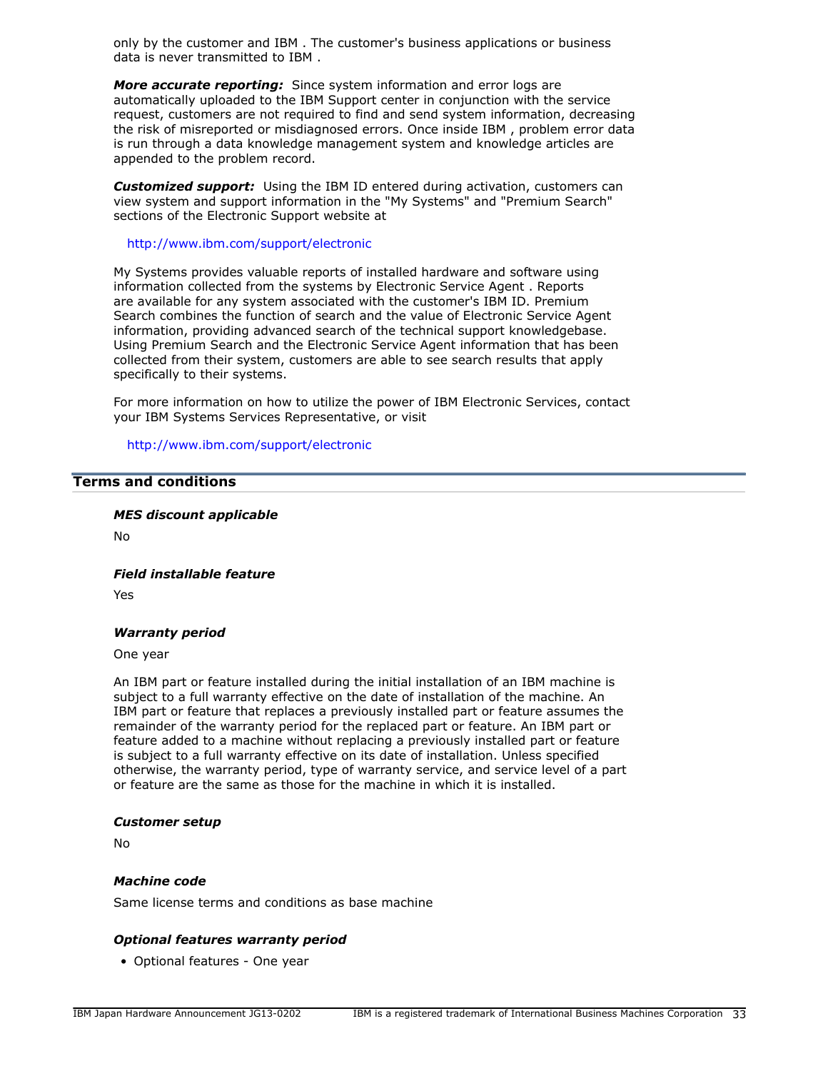only by the customer and IBM . The customer's business applications or business data is never transmitted to IBM .

*More accurate reporting:* Since system information and error logs are automatically uploaded to the IBM Support center in conjunction with the service request, customers are not required to find and send system information, decreasing the risk of misreported or misdiagnosed errors. Once inside IBM , problem error data is run through a data knowledge management system and knowledge articles are appended to the problem record.

*Customized support:* Using the IBM ID entered during activation, customers can view system and support information in the "My Systems" and "Premium Search" sections of the Electronic Support website at

<http://www.ibm.com/support/electronic>

My Systems provides valuable reports of installed hardware and software using information collected from the systems by Electronic Service Agent . Reports are available for any system associated with the customer's IBM ID. Premium Search combines the function of search and the value of Electronic Service Agent information, providing advanced search of the technical support knowledgebase. Using Premium Search and the Electronic Service Agent information that has been collected from their system, customers are able to see search results that apply specifically to their systems.

For more information on how to utilize the power of IBM Electronic Services, contact your IBM Systems Services Representative, or visit

<http://www.ibm.com/support/electronic>

#### <span id="page-32-0"></span>**Terms and conditions**

*MES discount applicable*

No

*Field installable feature*

Yes

#### *Warranty period*

One year

An IBM part or feature installed during the initial installation of an IBM machine is subject to a full warranty effective on the date of installation of the machine. An IBM part or feature that replaces a previously installed part or feature assumes the remainder of the warranty period for the replaced part or feature. An IBM part or feature added to a machine without replacing a previously installed part or feature is subject to a full warranty effective on its date of installation. Unless specified otherwise, the warranty period, type of warranty service, and service level of a part or feature are the same as those for the machine in which it is installed.

#### *Customer setup*

No

#### *Machine code*

Same license terms and conditions as base machine

#### *Optional features warranty period*

• Optional features - One year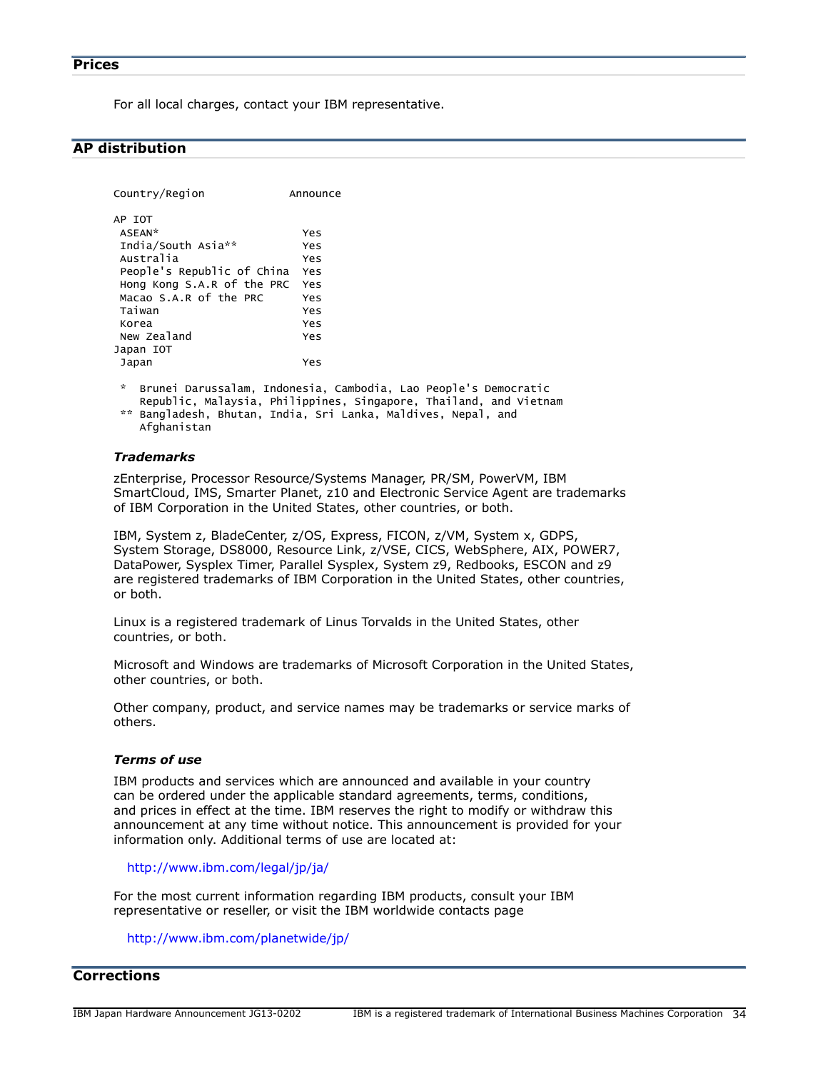<span id="page-33-0"></span>For all local charges, contact your IBM representative.

# <span id="page-33-1"></span>**AP distribution**

```
Country/Region Announce
AP IOT
 ASEAN* Yes
 India/South Asia** Yes
 Australia Yes
 People's Republic of China Yes
 Hong Kong S.A.R of the PRC Yes
 Macao S.A.R of the PRC Yes
 Taiwan Yes
 Korea Yes
 New Zealand Yes
Japan IOT
 Japan Yes
 * Brunei Darussalam, Indonesia, Cambodia, Lao People's Democratic
    Republic, Malaysia, Philippines, Singapore, Thailand, and Vietnam
 ** Bangladesh, Bhutan, India, Sri Lanka, Maldives, Nepal, and
    Afghanistan
```
#### *Trademarks*

zEnterprise, Processor Resource/Systems Manager, PR/SM, PowerVM, IBM SmartCloud, IMS, Smarter Planet, z10 and Electronic Service Agent are trademarks of IBM Corporation in the United States, other countries, or both.

IBM, System z, BladeCenter, z/OS, Express, FICON, z/VM, System x, GDPS, System Storage, DS8000, Resource Link, z/VSE, CICS, WebSphere, AIX, POWER7, DataPower, Sysplex Timer, Parallel Sysplex, System z9, Redbooks, ESCON and z9 are registered trademarks of IBM Corporation in the United States, other countries, or both.

Linux is a registered trademark of Linus Torvalds in the United States, other countries, or both.

Microsoft and Windows are trademarks of Microsoft Corporation in the United States, other countries, or both.

Other company, product, and service names may be trademarks or service marks of others.

#### *Terms of use*

IBM products and services which are announced and available in your country can be ordered under the applicable standard agreements, terms, conditions, and prices in effect at the time. IBM reserves the right to modify or withdraw this announcement at any time without notice. This announcement is provided for your information only. Additional terms of use are located at:

<http://www.ibm.com/legal/jp/ja/>

For the most current information regarding IBM products, consult your IBM representative or reseller, or visit the IBM worldwide contacts page

<http://www.ibm.com/planetwide/jp/>

# <span id="page-33-2"></span>**Corrections**